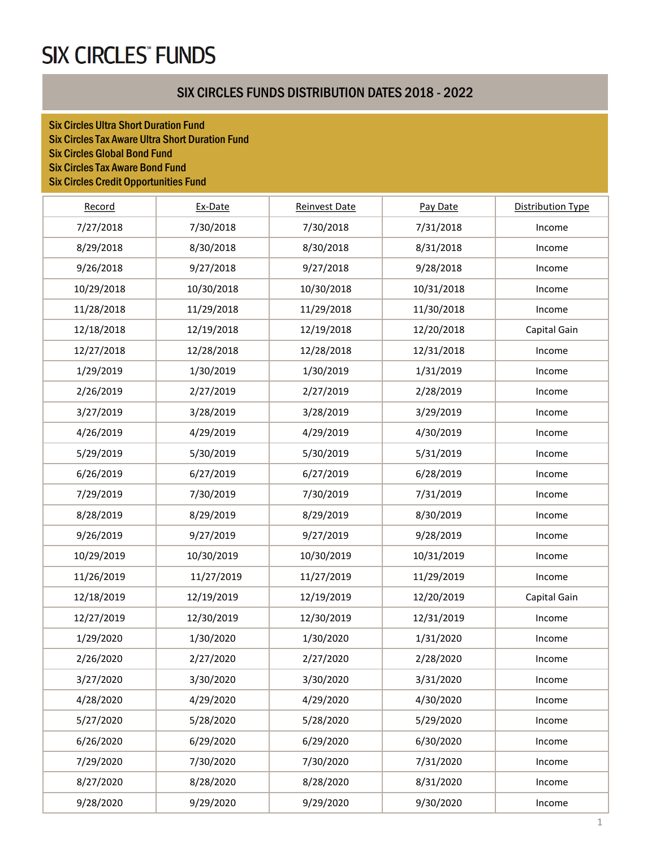### SIX CIRCLES FUNDS DISTRIBUTION DATES 2018 - 2022

Six Circles Ultra Short Duration Fund Six Circles Tax Aware Ultra Short Duration Fund Six Circles Global Bond Fund Six Circles Tax Aware Bond Fund Six Circles Credit Opportunities Fund

| Record     | Ex-Date    | Reinvest Date | Pay Date   | <b>Distribution Type</b> |
|------------|------------|---------------|------------|--------------------------|
| 7/27/2018  | 7/30/2018  | 7/30/2018     | 7/31/2018  | Income                   |
| 8/29/2018  | 8/30/2018  | 8/30/2018     | 8/31/2018  | Income                   |
| 9/26/2018  | 9/27/2018  | 9/27/2018     | 9/28/2018  | Income                   |
| 10/29/2018 | 10/30/2018 | 10/30/2018    | 10/31/2018 | Income                   |
| 11/28/2018 | 11/29/2018 | 11/29/2018    | 11/30/2018 | Income                   |
| 12/18/2018 | 12/19/2018 | 12/19/2018    | 12/20/2018 | Capital Gain             |
| 12/27/2018 | 12/28/2018 | 12/28/2018    | 12/31/2018 | Income                   |
| 1/29/2019  | 1/30/2019  | 1/30/2019     | 1/31/2019  | Income                   |
| 2/26/2019  | 2/27/2019  | 2/27/2019     | 2/28/2019  | Income                   |
| 3/27/2019  | 3/28/2019  | 3/28/2019     | 3/29/2019  | Income                   |
| 4/26/2019  | 4/29/2019  | 4/29/2019     | 4/30/2019  | Income                   |
| 5/29/2019  | 5/30/2019  | 5/30/2019     | 5/31/2019  | Income                   |
| 6/26/2019  | 6/27/2019  | 6/27/2019     | 6/28/2019  | Income                   |
| 7/29/2019  | 7/30/2019  | 7/30/2019     | 7/31/2019  | Income                   |
| 8/28/2019  | 8/29/2019  | 8/29/2019     | 8/30/2019  | Income                   |
| 9/26/2019  | 9/27/2019  | 9/27/2019     | 9/28/2019  | Income                   |
| 10/29/2019 | 10/30/2019 | 10/30/2019    | 10/31/2019 | Income                   |
| 11/26/2019 | 11/27/2019 | 11/27/2019    | 11/29/2019 | Income                   |
| 12/18/2019 | 12/19/2019 | 12/19/2019    | 12/20/2019 | Capital Gain             |
| 12/27/2019 | 12/30/2019 | 12/30/2019    | 12/31/2019 | Income                   |
| 1/29/2020  | 1/30/2020  | 1/30/2020     | 1/31/2020  | Income                   |
| 2/26/2020  | 2/27/2020  | 2/27/2020     | 2/28/2020  | Income                   |
| 3/27/2020  | 3/30/2020  | 3/30/2020     | 3/31/2020  | Income                   |
| 4/28/2020  | 4/29/2020  | 4/29/2020     | 4/30/2020  | Income                   |
| 5/27/2020  | 5/28/2020  | 5/28/2020     | 5/29/2020  | Income                   |
| 6/26/2020  | 6/29/2020  | 6/29/2020     | 6/30/2020  | Income                   |
| 7/29/2020  | 7/30/2020  | 7/30/2020     | 7/31/2020  | Income                   |
| 8/27/2020  | 8/28/2020  | 8/28/2020     | 8/31/2020  | Income                   |
| 9/28/2020  | 9/29/2020  | 9/29/2020     | 9/30/2020  | Income                   |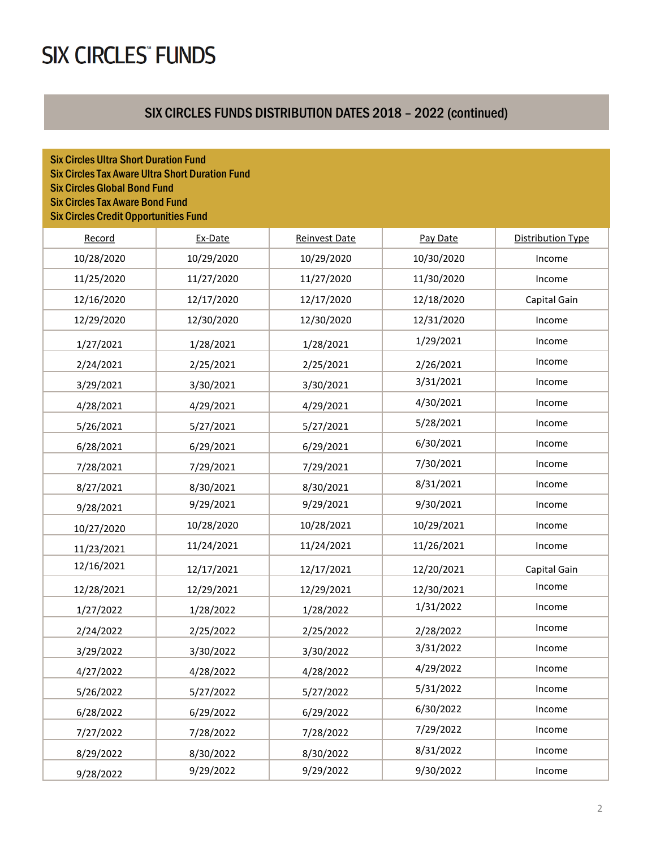### SIX CIRCLES FUNDS DISTRIBUTION DATES 2018 – 2022 (continued)

| <b>Six Circles Ultra Short Duration Fund</b><br><b>Six Circles Tax Aware Ultra Short Duration Fund</b><br><b>Six Circles Global Bond Fund</b><br><b>Six Circles Tax Aware Bond Fund</b><br><b>Six Circles Credit Opportunities Fund</b> |            |                      |            |                   |
|-----------------------------------------------------------------------------------------------------------------------------------------------------------------------------------------------------------------------------------------|------------|----------------------|------------|-------------------|
| Record                                                                                                                                                                                                                                  | Ex-Date    | <b>Reinvest Date</b> | Pay Date   | Distribution Type |
| 10/28/2020                                                                                                                                                                                                                              | 10/29/2020 | 10/29/2020           | 10/30/2020 | Income            |
| 11/25/2020                                                                                                                                                                                                                              | 11/27/2020 | 11/27/2020           | 11/30/2020 | Income            |
| 12/16/2020                                                                                                                                                                                                                              | 12/17/2020 | 12/17/2020           | 12/18/2020 | Capital Gain      |
| 12/29/2020                                                                                                                                                                                                                              | 12/30/2020 | 12/30/2020           | 12/31/2020 | Income            |
| 1/27/2021                                                                                                                                                                                                                               | 1/28/2021  | 1/28/2021            | 1/29/2021  | Income            |
| 2/24/2021                                                                                                                                                                                                                               | 2/25/2021  | 2/25/2021            | 2/26/2021  | Income            |
| 3/29/2021                                                                                                                                                                                                                               | 3/30/2021  | 3/30/2021            | 3/31/2021  | Income            |
| 4/28/2021                                                                                                                                                                                                                               | 4/29/2021  | 4/29/2021            | 4/30/2021  | Income            |
| 5/26/2021                                                                                                                                                                                                                               | 5/27/2021  | 5/27/2021            | 5/28/2021  | Income            |
| 6/28/2021                                                                                                                                                                                                                               | 6/29/2021  | 6/29/2021            | 6/30/2021  | Income            |
| 7/28/2021                                                                                                                                                                                                                               | 7/29/2021  | 7/29/2021            | 7/30/2021  | Income            |
| 8/27/2021                                                                                                                                                                                                                               | 8/30/2021  | 8/30/2021            | 8/31/2021  | Income            |
| 9/28/2021                                                                                                                                                                                                                               | 9/29/2021  | 9/29/2021            | 9/30/2021  | Income            |
| 10/27/2020                                                                                                                                                                                                                              | 10/28/2020 | 10/28/2021           | 10/29/2021 | Income            |
| 11/23/2021                                                                                                                                                                                                                              | 11/24/2021 | 11/24/2021           | 11/26/2021 | Income            |
| 12/16/2021                                                                                                                                                                                                                              | 12/17/2021 | 12/17/2021           | 12/20/2021 | Capital Gain      |
| 12/28/2021                                                                                                                                                                                                                              | 12/29/2021 | 12/29/2021           | 12/30/2021 | Income            |
| 1/27/2022                                                                                                                                                                                                                               | 1/28/2022  | 1/28/2022            | 1/31/2022  | Income            |
| 2/24/2022                                                                                                                                                                                                                               | 2/25/2022  | 2/25/2022            | 2/28/2022  | Income            |
| 3/29/2022                                                                                                                                                                                                                               | 3/30/2022  | 3/30/2022            | 3/31/2022  | Income            |
| 4/27/2022                                                                                                                                                                                                                               | 4/28/2022  | 4/28/2022            | 4/29/2022  | Income            |
| 5/26/2022                                                                                                                                                                                                                               | 5/27/2022  | 5/27/2022            | 5/31/2022  | Income            |
| 6/28/2022                                                                                                                                                                                                                               | 6/29/2022  | 6/29/2022            | 6/30/2022  | Income            |
| 7/27/2022                                                                                                                                                                                                                               | 7/28/2022  | 7/28/2022            | 7/29/2022  | Income            |
| 8/29/2022                                                                                                                                                                                                                               | 8/30/2022  | 8/30/2022            | 8/31/2022  | Income            |
| 9/28/2022                                                                                                                                                                                                                               | 9/29/2022  | 9/29/2022            | 9/30/2022  | Income            |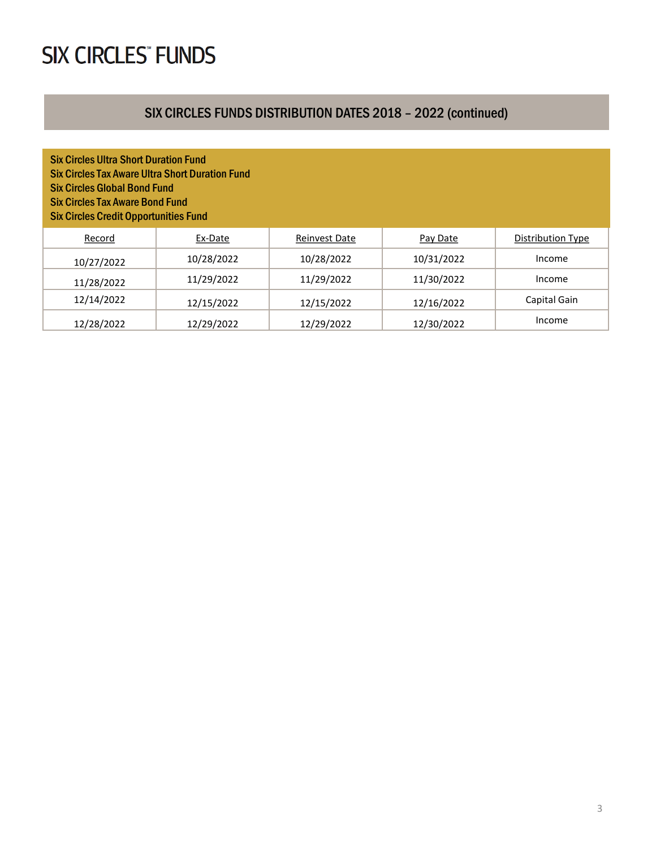### SIX CIRCLES FUNDS DISTRIBUTION DATES 2018 – 2022 (continued)

| <b>Six Circles Ultra Short Duration Fund</b><br><b>Six Circles Tax Aware Ultra Short Duration Fund</b><br><b>Six Circles Global Bond Fund</b><br><b>Six Circles Tax Aware Bond Fund</b><br><b>Six Circles Credit Opportunities Fund</b> |            |                      |            |                   |  |  |  |  |
|-----------------------------------------------------------------------------------------------------------------------------------------------------------------------------------------------------------------------------------------|------------|----------------------|------------|-------------------|--|--|--|--|
| Record                                                                                                                                                                                                                                  | Ex-Date    | <b>Reinvest Date</b> | Pay Date   | Distribution Type |  |  |  |  |
| 10/27/2022                                                                                                                                                                                                                              | 10/28/2022 | 10/28/2022           | 10/31/2022 | Income            |  |  |  |  |
| 11/28/2022                                                                                                                                                                                                                              | 11/29/2022 | 11/29/2022           | 11/30/2022 | Income            |  |  |  |  |
| 12/14/2022                                                                                                                                                                                                                              | 12/15/2022 | 12/15/2022           | 12/16/2022 | Capital Gain      |  |  |  |  |
| 12/28/2022                                                                                                                                                                                                                              | 12/29/2022 | 12/29/2022           | 12/30/2022 | Income            |  |  |  |  |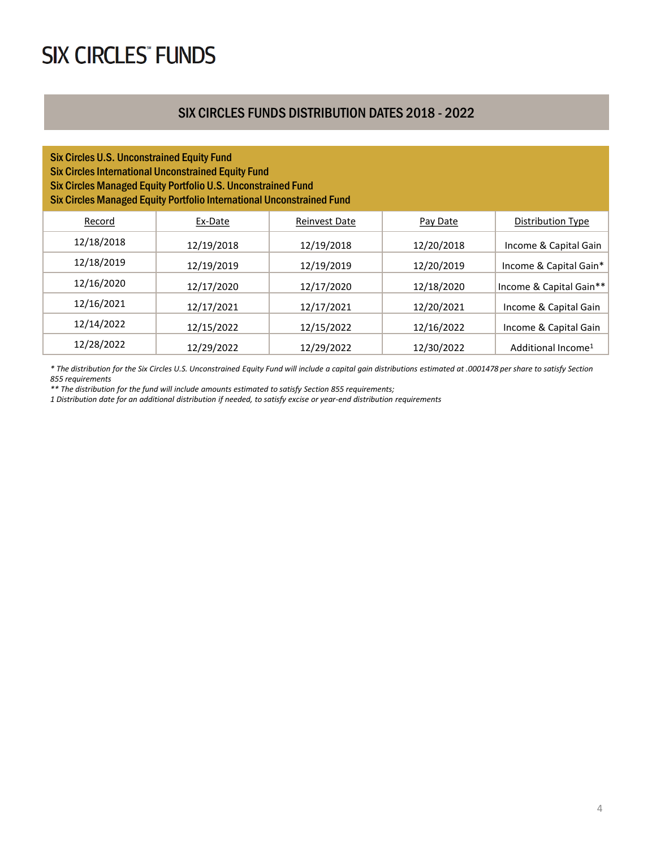#### SIX CIRCLES FUNDS DISTRIBUTION DATES 2018 - 2022

#### Six Circles U.S. Unconstrained Equity Fund Six Circles International Unconstrained Equity Fund Six Circles Managed Equity Portfolio U.S. Unconstrained Fund Six Circles Managed Equity Portfolio International Unconstrained Fund

| Record     | Ex-Date    | <b>Reinvest Date</b> | Pay Date   | Distribution Type              |
|------------|------------|----------------------|------------|--------------------------------|
| 12/18/2018 | 12/19/2018 | 12/19/2018           | 12/20/2018 | Income & Capital Gain          |
| 12/18/2019 | 12/19/2019 | 12/19/2019           | 12/20/2019 | Income & Capital Gain*         |
| 12/16/2020 | 12/17/2020 | 12/17/2020           | 12/18/2020 | Income & Capital Gain**        |
| 12/16/2021 | 12/17/2021 | 12/17/2021           | 12/20/2021 | Income & Capital Gain          |
| 12/14/2022 | 12/15/2022 | 12/15/2022           | 12/16/2022 | Income & Capital Gain          |
| 12/28/2022 | 12/29/2022 | 12/29/2022           | 12/30/2022 | Additional Income <sup>1</sup> |

*\* The distribution for the Six Circles U.S. Unconstrained Equity Fund will include a capital gain distributions estimated at .0001478 per share to satisfy Section 855 requirements* 

*\*\* The distribution for the fund will include amounts estimated to satisfy Section 855 requirements;*

*1 Distribution date for an additional distribution if needed, to satisfy excise or year-end distribution requirements*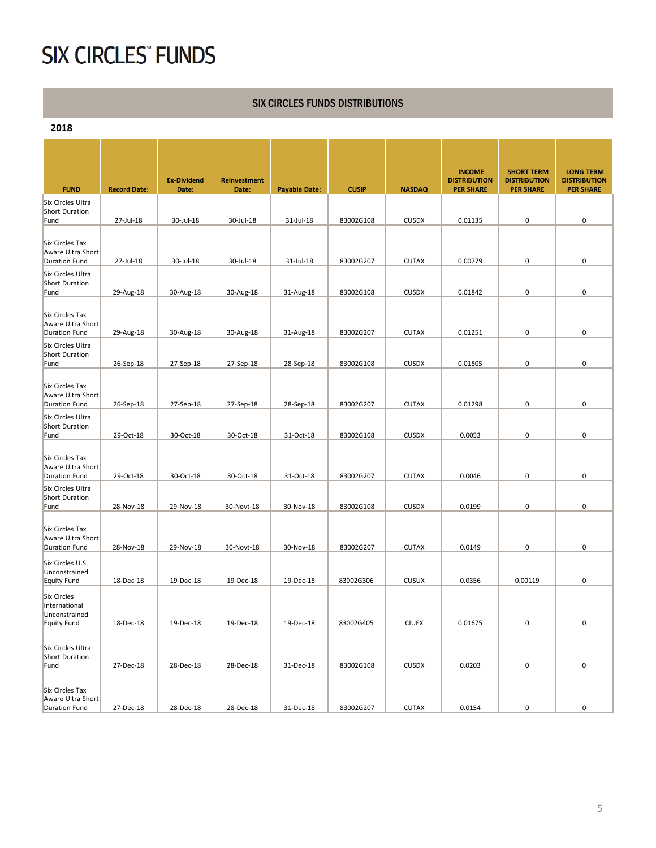#### SIX CIRCLES FUNDS DISTRIBUTIONS

**2018**

| <b>FUND</b>                                                  | <b>Record Date:</b> | <b>Ex-Dividend</b><br>Date: | <b>Reinvestment</b><br>Date: | <b>Payable Date:</b> | <b>CUSIP</b> | <b>NASDAQ</b> | <b>INCOME</b><br><b>DISTRIBUTION</b><br><b>PER SHARE</b> | <b>SHORT TERM</b><br><b>DISTRIBUTION</b><br><b>PER SHARE</b> | <b>LONG TERM</b><br><b>DISTRIBUTION</b><br><b>PER SHARE</b> |
|--------------------------------------------------------------|---------------------|-----------------------------|------------------------------|----------------------|--------------|---------------|----------------------------------------------------------|--------------------------------------------------------------|-------------------------------------------------------------|
| Six Circles Ultra                                            |                     |                             |                              |                      |              |               |                                                          |                                                              |                                                             |
| Short Duration<br>Fund                                       | 27-Jul-18           | 30-Jul-18                   | 30-Jul-18                    | 31-Jul-18            | 83002G108    | <b>CUSDX</b>  | 0.01135                                                  | 0                                                            | 0                                                           |
|                                                              |                     |                             |                              |                      |              |               |                                                          |                                                              |                                                             |
| Six Circles Tax<br>Aware Ultra Short                         |                     |                             |                              |                      |              |               |                                                          |                                                              |                                                             |
| <b>Duration Fund</b>                                         | 27-Jul-18           | 30-Jul-18                   | 30-Jul-18                    | 31-Jul-18            | 83002G207    | <b>CUTAX</b>  | 0.00779                                                  | 0                                                            | 0                                                           |
| Six Circles Ultra<br>Short Duration<br>Fund                  | 29-Aug-18           | 30-Aug-18                   | 30-Aug-18                    | 31-Aug-18            | 83002G108    | <b>CUSDX</b>  | 0.01842                                                  | 0                                                            | 0                                                           |
| Six Circles Tax<br>Aware Ultra Short                         |                     |                             |                              |                      |              |               |                                                          |                                                              |                                                             |
| <b>Duration Fund</b>                                         | 29-Aug-18           | 30-Aug-18                   | 30-Aug-18                    | 31-Aug-18            | 83002G207    | <b>CUTAX</b>  | 0.01251                                                  | 0                                                            | 0                                                           |
| Six Circles Ultra<br>Short Duration<br>Fund                  | 26-Sep-18           | 27-Sep-18                   | 27-Sep-18                    | 28-Sep-18            | 83002G108    | <b>CUSDX</b>  | 0.01805                                                  | 0                                                            | 0                                                           |
| Six Circles Tax<br>Aware Ultra Short<br><b>Duration Fund</b> | 26-Sep-18           | 27-Sep-18                   | 27-Sep-18                    | 28-Sep-18            | 83002G207    | <b>CUTAX</b>  | 0.01298                                                  | 0                                                            | 0                                                           |
| Six Circles Ultra<br>Short Duration<br>Fund                  | 29-Oct-18           | 30-Oct-18                   | 30-Oct-18                    | 31-Oct-18            | 83002G108    | <b>CUSDX</b>  | 0.0053                                                   | 0                                                            | 0                                                           |
| Six Circles Tax<br>Aware Ultra Short<br><b>Duration Fund</b> | 29-Oct-18           | 30-Oct-18                   | 30-Oct-18                    | 31-Oct-18            | 83002G207    | <b>CUTAX</b>  | 0.0046                                                   | 0                                                            | 0                                                           |
| Six Circles Ultra<br><b>Short Duration</b><br>Fund           | 28-Nov-18           | 29-Nov-18                   | 30-Novt-18                   | 30-Nov-18            | 83002G108    | <b>CUSDX</b>  | 0.0199                                                   | 0                                                            | 0                                                           |
| Six Circles Tax<br>Aware Ultra Short<br>Duration Fund        | 28-Nov-18           | 29-Nov-18                   | 30-Novt-18                   | 30-Nov-18            | 83002G207    | <b>CUTAX</b>  | 0.0149                                                   | 0                                                            | 0                                                           |
| Six Circles U.S.<br>Unconstrained<br>Equity Fund             | 18-Dec-18           | 19-Dec-18                   | 19-Dec-18                    | 19-Dec-18            | 83002G306    | <b>CUSUX</b>  | 0.0356                                                   | 0.00119                                                      | 0                                                           |
| <b>Six Circles</b><br>International<br>Unconstrained         |                     |                             |                              |                      |              |               |                                                          |                                                              |                                                             |
| <b>Equity Fund</b>                                           | 18-Dec-18           | 19-Dec-18                   | 19-Dec-18                    | 19-Dec-18            | 83002G405    | <b>CIUEX</b>  | 0.01675                                                  | $\pmb{0}$                                                    | 0                                                           |
| Six Circles Ultra<br>Short Duration<br>Fund                  | 27-Dec-18           | 28-Dec-18                   | 28-Dec-18                    | 31-Dec-18            | 83002G108    | <b>CUSDX</b>  | 0.0203                                                   | 0                                                            | 0                                                           |
| Six Circles Tax<br>Aware Ultra Short                         |                     |                             |                              |                      |              |               |                                                          |                                                              |                                                             |
| Duration Fund                                                | 27-Dec-18           | 28-Dec-18                   | 28-Dec-18                    | 31-Dec-18            | 83002G207    | <b>CUTAX</b>  | 0.0154                                                   | 0                                                            | 0                                                           |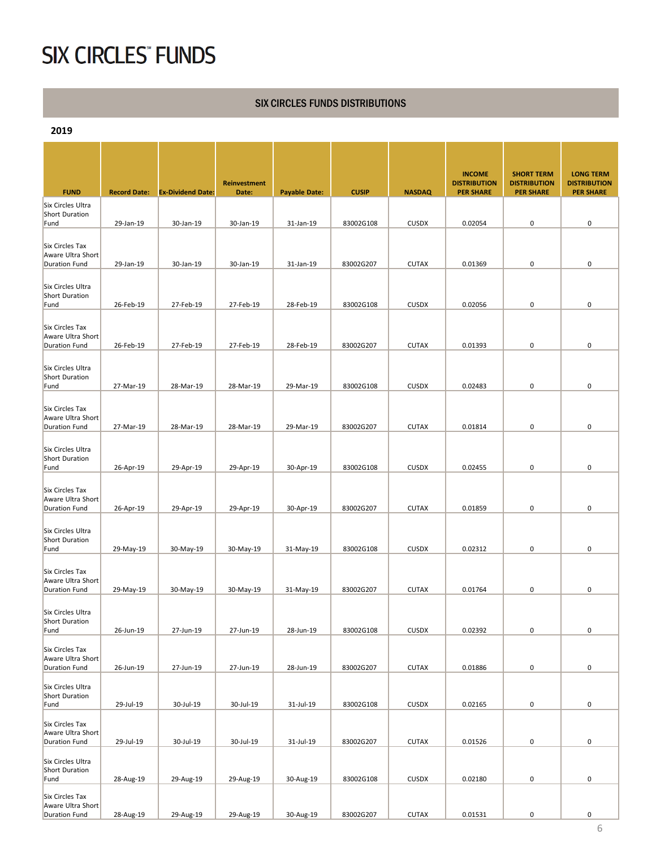#### SIX CIRCLES FUNDS DISTRIBUTIONS

**2019**

|                                                              |                     |                          | <b>Reinvestment</b> |                      |              |               | <b>INCOME</b><br><b>DISTRIBUTION</b> | <b>SHORT TERM</b><br><b>DISTRIBUTION</b> | <b>LONG TERM</b><br><b>DISTRIBUTION</b> |
|--------------------------------------------------------------|---------------------|--------------------------|---------------------|----------------------|--------------|---------------|--------------------------------------|------------------------------------------|-----------------------------------------|
| <b>FUND</b>                                                  | <b>Record Date:</b> | <b>Ex-Dividend Date:</b> | Date:               | <b>Payable Date:</b> | <b>CUSIP</b> | <b>NASDAQ</b> | <b>PER SHARE</b>                     | <b>PER SHARE</b>                         | <b>PER SHARE</b>                        |
| Six Circles Ultra<br>Short Duration<br>Fund                  | 29-Jan-19           | 30-Jan-19                | 30-Jan-19           | 31-Jan-19            | 83002G108    | <b>CUSDX</b>  | 0.02054                              | 0                                        | 0                                       |
|                                                              |                     |                          |                     |                      |              |               |                                      |                                          |                                         |
| Six Circles Tax<br>Aware Ultra Short                         |                     |                          |                     |                      |              |               |                                      |                                          |                                         |
| <b>Duration Fund</b>                                         | 29-Jan-19           | 30-Jan-19                | 30-Jan-19           | 31-Jan-19            | 83002G207    | <b>CUTAX</b>  | 0.01369                              | 0                                        | 0                                       |
| Six Circles Ultra<br>Short Duration                          |                     |                          |                     |                      |              |               |                                      |                                          |                                         |
| Fund                                                         | 26-Feb-19           | 27-Feb-19                | 27-Feb-19           | 28-Feb-19            | 83002G108    | <b>CUSDX</b>  | 0.02056                              | 0                                        | 0                                       |
| Six Circles Tax<br>Aware Ultra Short                         |                     |                          |                     |                      |              |               |                                      |                                          |                                         |
| <b>Duration Fund</b>                                         | 26-Feb-19           | 27-Feb-19                | 27-Feb-19           | 28-Feb-19            | 83002G207    | <b>CUTAX</b>  | 0.01393                              | 0                                        | 0                                       |
| Six Circles Ultra<br>Short Duration                          |                     |                          |                     |                      |              |               |                                      |                                          |                                         |
| Fund                                                         | 27-Mar-19           | 28-Mar-19                | 28-Mar-19           | 29-Mar-19            | 83002G108    | <b>CUSDX</b>  | 0.02483                              | 0                                        | 0                                       |
| Six Circles Tax<br>Aware Ultra Short                         |                     |                          |                     |                      |              |               |                                      |                                          |                                         |
| <b>Duration Fund</b>                                         | 27-Mar-19           | 28-Mar-19                | 28-Mar-19           | 29-Mar-19            | 83002G207    | <b>CUTAX</b>  | 0.01814                              | 0                                        | 0                                       |
| Six Circles Ultra<br><b>Short Duration</b><br>Fund           | 26-Apr-19           | 29-Apr-19                | 29-Apr-19           | 30-Apr-19            | 83002G108    | <b>CUSDX</b>  | 0.02455                              | 0                                        | 0                                       |
|                                                              |                     |                          |                     |                      |              |               |                                      |                                          |                                         |
| Six Circles Tax<br>Aware Ultra Short<br><b>Duration Fund</b> | 26-Apr-19           | 29-Apr-19                | 29-Apr-19           | 30-Apr-19            | 83002G207    | <b>CUTAX</b>  | 0.01859                              | 0                                        | 0                                       |
|                                                              |                     |                          |                     |                      |              |               |                                      |                                          |                                         |
| Six Circles Ultra<br>Short Duration<br>Fund                  | 29-May-19           | 30-May-19                | 30-May-19           | 31-May-19            | 83002G108    | <b>CUSDX</b>  | 0.02312                              | 0                                        | 0                                       |
|                                                              |                     |                          |                     |                      |              |               |                                      |                                          |                                         |
| Six Circles Tax<br>Aware Ultra Short<br><b>Duration Fund</b> | 29-May-19           | 30-May-19                | 30-May-19           | 31-May-19            | 83002G207    | <b>CUTAX</b>  | 0.01764                              | 0                                        | 0                                       |
| Six Circles Ultra                                            |                     |                          |                     |                      |              |               |                                      |                                          |                                         |
| <b>Short Duration</b>                                        |                     |                          |                     |                      |              |               |                                      |                                          |                                         |
| Fund                                                         | 26-Jun-19           | 27-Jun-19                | 27-Jun-19           | 28-Jun-19            | 83002G108    | CUSDX         | 0.02392                              | 0                                        | $\pmb{0}$                               |
| Six Circles Tax<br>Aware Ultra Short<br><b>Duration Fund</b> | 26-Jun-19           | 27-Jun-19                | 27-Jun-19           | 28-Jun-19            | 83002G207    | <b>CUTAX</b>  | 0.01886                              | 0                                        | 0                                       |
|                                                              |                     |                          |                     |                      |              |               |                                      |                                          |                                         |
| Six Circles Ultra<br>Short Duration<br>Fund                  | 29-Jul-19           | 30-Jul-19                | 30-Jul-19           | 31-Jul-19            | 83002G108    | CUSDX         | 0.02165                              | $\pmb{0}$                                | 0                                       |
| Six Circles Tax<br>Aware Ultra Short                         |                     |                          |                     |                      |              |               |                                      |                                          |                                         |
| <b>Duration Fund</b>                                         | 29-Jul-19           | 30-Jul-19                | 30-Jul-19           | 31-Jul-19            | 83002G207    | <b>CUTAX</b>  | 0.01526                              | 0                                        | 0                                       |
| Six Circles Ultra<br>Short Duration                          |                     |                          |                     |                      |              |               |                                      |                                          |                                         |
| Fund<br>Six Circles Tax                                      | 28-Aug-19           | 29-Aug-19                | 29-Aug-19           | 30-Aug-19            | 83002G108    | <b>CUSDX</b>  | 0.02180                              | 0                                        | 0                                       |
| Aware Ultra Short<br><b>Duration Fund</b>                    | 28-Aug-19           | 29-Aug-19                | 29-Aug-19           | 30-Aug-19            | 83002G207    | <b>CUTAX</b>  | 0.01531                              | $\pmb{0}$                                | 0                                       |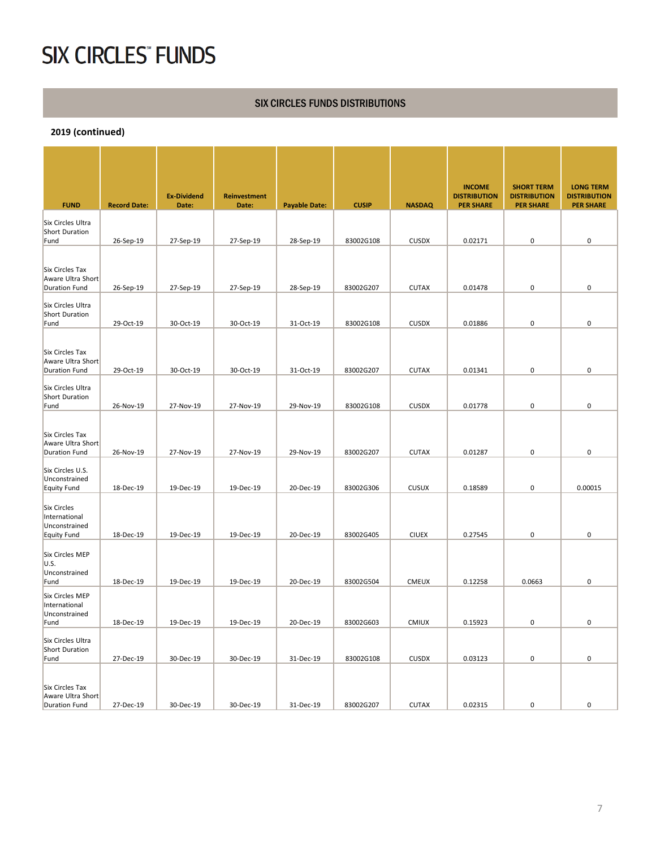#### SIX CIRCLES FUNDS DISTRIBUTIONS

| <b>FUND</b>                                                                | <b>Record Date:</b>    | <b>Ex-Dividend</b><br>Date: | <b>Reinvestment</b><br>Date: | <b>Payable Date:</b>   | <b>CUSIP</b>           | <b>NASDAQ</b>                | <b>INCOME</b><br><b>DISTRIBUTION</b><br><b>PER SHARE</b> | <b>SHORT TERM</b><br><b>DISTRIBUTION</b><br><b>PER SHARE</b> | <b>LONG TERM</b><br><b>DISTRIBUTION</b><br><b>PER SHARE</b> |
|----------------------------------------------------------------------------|------------------------|-----------------------------|------------------------------|------------------------|------------------------|------------------------------|----------------------------------------------------------|--------------------------------------------------------------|-------------------------------------------------------------|
| Six Circles Ultra<br><b>Short Duration</b><br>Fund                         | 26-Sep-19              | 27-Sep-19                   | 27-Sep-19                    | 28-Sep-19              | 83002G108              | <b>CUSDX</b>                 | 0.02171                                                  | $\mathbf 0$                                                  | 0                                                           |
| Six Circles Tax<br>Aware Ultra Short<br><b>Duration Fund</b>               | 26-Sep-19              | 27-Sep-19                   | 27-Sep-19                    | 28-Sep-19              | 83002G207              | <b>CUTAX</b>                 | 0.01478                                                  | $\pmb{0}$                                                    | 0                                                           |
| Six Circles Ultra<br><b>Short Duration</b><br>Fund                         | 29-Oct-19              | 30-Oct-19                   | 30-Oct-19                    | 31-Oct-19              | 83002G108              | <b>CUSDX</b>                 | 0.01886                                                  | $\pmb{0}$                                                    | 0                                                           |
| Six Circles Tax<br>Aware Ultra Short                                       |                        |                             |                              |                        |                        |                              |                                                          |                                                              |                                                             |
| <b>Duration Fund</b><br>Six Circles Ultra<br>Short Duration<br>Fund        | 29-Oct-19<br>26-Nov-19 | 30-Oct-19<br>27-Nov-19      | 30-Oct-19<br>27-Nov-19       | 31-Oct-19<br>29-Nov-19 | 83002G207<br>83002G108 | <b>CUTAX</b><br><b>CUSDX</b> | 0.01341<br>0.01778                                       | $\mathbf 0$<br>$\mathbf 0$                                   | 0<br>0                                                      |
| Six Circles Tax<br>Aware Ultra Short<br><b>Duration Fund</b>               | 26-Nov-19              | 27-Nov-19                   | 27-Nov-19                    | 29-Nov-19              | 83002G207              | <b>CUTAX</b>                 | 0.01287                                                  | $\pmb{0}$                                                    | 0                                                           |
| Six Circles U.S.<br>Unconstrained<br><b>Equity Fund</b>                    | 18-Dec-19              | 19-Dec-19                   | 19-Dec-19                    | 20-Dec-19              | 83002G306              | <b>CUSUX</b>                 | 0.18589                                                  | $\mathbf 0$                                                  | 0.00015                                                     |
| <b>Six Circles</b><br>International<br>Unconstrained<br><b>Equity Fund</b> | 18-Dec-19              | 19-Dec-19                   | 19-Dec-19                    | 20-Dec-19              | 83002G405              | <b>CIUEX</b>                 | 0.27545                                                  | $\pmb{0}$                                                    | 0                                                           |
| Six Circles MEP<br>U.S.<br>Unconstrained<br>Fund                           | 18-Dec-19              | 19-Dec-19                   | 19-Dec-19                    | 20-Dec-19              | 83002G504              | <b>CMEUX</b>                 | 0.12258                                                  | 0.0663                                                       | 0                                                           |
| Six Circles MEP<br>International<br>Unconstrained<br>Fund                  | 18-Dec-19              | 19-Dec-19                   | 19-Dec-19                    | 20-Dec-19              | 83002G603              | <b>CMIUX</b>                 | 0.15923                                                  | $\mathbf 0$                                                  | 0                                                           |
| Six Circles Ultra<br><b>Short Duration</b><br>Fund                         | 27-Dec-19              | 30-Dec-19                   | 30-Dec-19                    | 31-Dec-19              | 83002G108              | <b>CUSDX</b>                 | 0.03123                                                  | 0                                                            | 0                                                           |
| Six Circles Tax<br>Aware Ultra Short<br><b>Duration Fund</b>               | 27-Dec-19              | 30-Dec-19                   | 30-Dec-19                    | 31-Dec-19              | 83002G207              | <b>CUTAX</b>                 | 0.02315                                                  | 0                                                            | 0                                                           |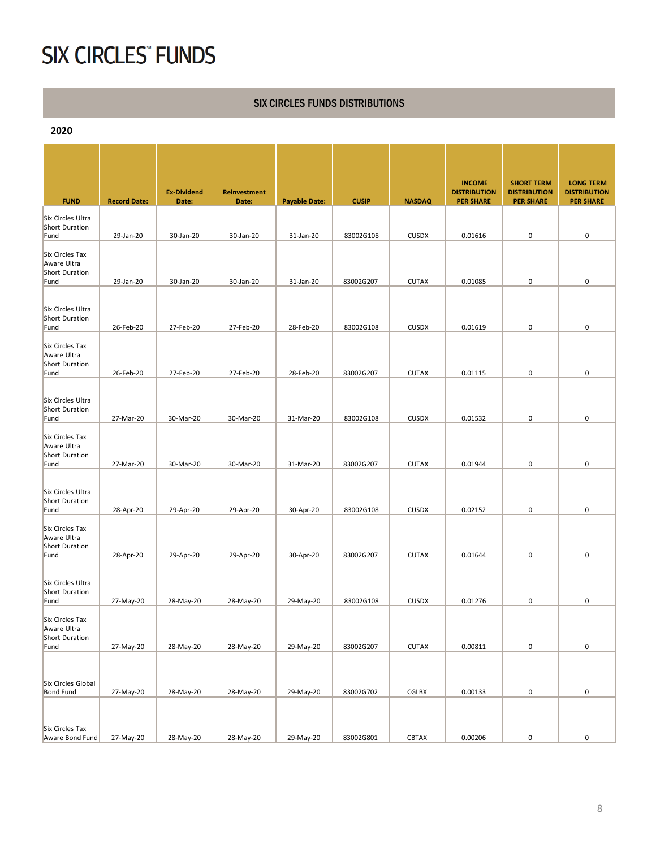#### SIX CIRCLES FUNDS DISTRIBUTIONS

**2020**

| <b>FUND</b>                                              | <b>Record Date:</b> | <b>Ex-Dividend</b><br>Date: | <b>Reinvestment</b><br>Date: | <b>Payable Date:</b> | <b>CUSIP</b> | <b>NASDAQ</b> | <b>INCOME</b><br><b>DISTRIBUTION</b><br><b>PER SHARE</b> | <b>SHORT TERM</b><br><b>DISTRIBUTION</b><br><b>PER SHARE</b> | <b>LONG TERM</b><br><b>DISTRIBUTION</b><br><b>PER SHARE</b> |
|----------------------------------------------------------|---------------------|-----------------------------|------------------------------|----------------------|--------------|---------------|----------------------------------------------------------|--------------------------------------------------------------|-------------------------------------------------------------|
| Six Circles Ultra<br>Short Duration<br>Fund              | 29-Jan-20           | 30-Jan-20                   | 30-Jan-20                    | 31-Jan-20            | 83002G108    | <b>CUSDX</b>  | 0.01616                                                  | 0                                                            | 0                                                           |
| Six Circles Tax<br>Aware Ultra<br>Short Duration         |                     |                             |                              |                      |              |               |                                                          |                                                              |                                                             |
| Fund                                                     | 29-Jan-20           | 30-Jan-20                   | 30-Jan-20                    | 31-Jan-20            | 83002G207    | <b>CUTAX</b>  | 0.01085                                                  | 0                                                            | 0                                                           |
| Six Circles Ultra<br>Short Duration<br>Fund              | 26-Feb-20           | 27-Feb-20                   | 27-Feb-20                    | 28-Feb-20            | 83002G108    | <b>CUSDX</b>  | 0.01619                                                  | 0                                                            | 0                                                           |
| Six Circles Tax<br>Aware Ultra<br>Short Duration         |                     |                             |                              |                      |              |               |                                                          |                                                              |                                                             |
| Fund                                                     | 26-Feb-20           | 27-Feb-20                   | 27-Feb-20                    | 28-Feb-20            | 83002G207    | <b>CUTAX</b>  | 0.01115                                                  | 0                                                            | 0                                                           |
| Six Circles Ultra<br>Short Duration<br>Fund              | 27-Mar-20           | 30-Mar-20                   | 30-Mar-20                    | 31-Mar-20            | 83002G108    | <b>CUSDX</b>  | 0.01532                                                  | 0                                                            | 0                                                           |
| Six Circles Tax<br>Aware Ultra<br>Short Duration<br>Fund | 27-Mar-20           | 30-Mar-20                   | 30-Mar-20                    | 31-Mar-20            | 83002G207    | <b>CUTAX</b>  | 0.01944                                                  | 0                                                            | 0                                                           |
| Six Circles Ultra<br>Short Duration                      |                     |                             |                              |                      |              |               |                                                          |                                                              |                                                             |
| Fund                                                     | 28-Apr-20           | 29-Apr-20                   | 29-Apr-20                    | 30-Apr-20            | 83002G108    | <b>CUSDX</b>  | 0.02152                                                  | 0                                                            | 0                                                           |
| Six Circles Tax<br>Aware Ultra<br>Short Duration<br>Fund | 28-Apr-20           | 29-Apr-20                   | 29-Apr-20                    | 30-Apr-20            | 83002G207    | <b>CUTAX</b>  | 0.01644                                                  | 0                                                            | 0                                                           |
| Six Circles Ultra<br>Short Duration<br>Fund              | 27-May-20           | 28-May-20                   | 28-May-20                    | 29-May-20            | 83002G108    | <b>CUSDX</b>  | 0.01276                                                  | 0                                                            | 0                                                           |
| Six Circles Tax<br>Aware Ultra<br>Short Duration         |                     |                             |                              |                      |              |               |                                                          |                                                              |                                                             |
| Fund                                                     | 27-May-20           | 28-May-20                   | 28-May-20                    | 29-May-20            | 83002G207    | <b>CUTAX</b>  | 0.00811                                                  | $\pmb{0}$                                                    | 0                                                           |
| Six Circles Global<br><b>Bond Fund</b>                   | 27-May-20           | 28-May-20                   | 28-May-20                    | 29-May-20            | 83002G702    | <b>CGLBX</b>  | 0.00133                                                  | $\pmb{0}$                                                    | 0                                                           |
| Six Circles Tax<br>Aware Bond Fund                       | 27-May-20           | 28-May-20                   | 28-May-20                    | 29-May-20            | 83002G801    | CBTAX         | 0.00206                                                  | $\pmb{0}$                                                    | 0                                                           |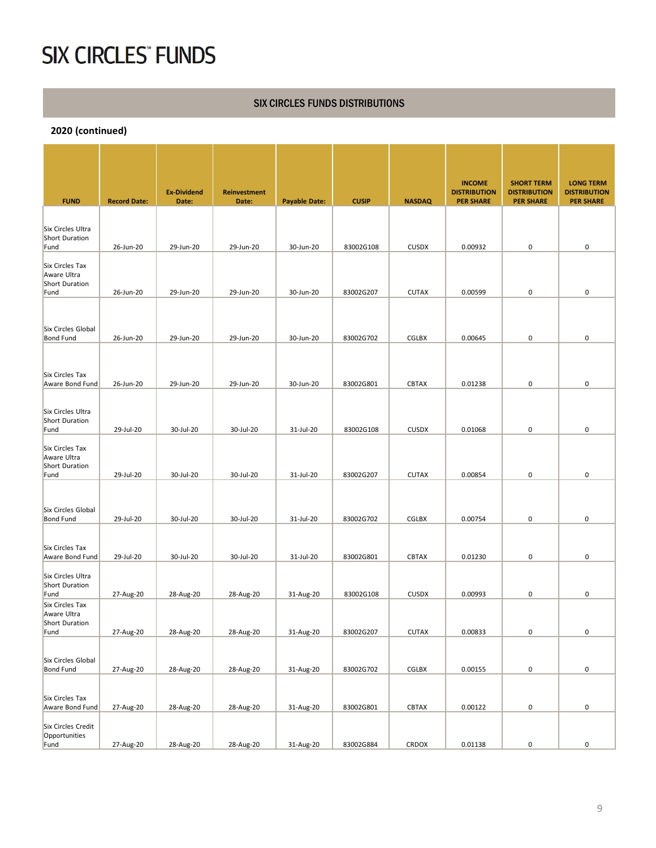#### SIX CIRCLES FUNDS DISTRIBUTIONS

|                                                                 |                     |                             |                              |                      |              |               | <b>INCOME</b>                           | <b>SHORT TERM</b>                       | <b>LONG TERM</b>                        |
|-----------------------------------------------------------------|---------------------|-----------------------------|------------------------------|----------------------|--------------|---------------|-----------------------------------------|-----------------------------------------|-----------------------------------------|
| <b>FUND</b>                                                     | <b>Record Date:</b> | <b>Ex-Dividend</b><br>Date: | <b>Reinvestment</b><br>Date: | <b>Payable Date:</b> | <b>CUSIP</b> | <b>NASDAQ</b> | <b>DISTRIBUTION</b><br><b>PER SHARE</b> | <b>DISTRIBUTION</b><br><b>PER SHARE</b> | <b>DISTRIBUTION</b><br><b>PER SHARE</b> |
|                                                                 |                     |                             |                              |                      |              |               |                                         |                                         |                                         |
| Six Circles Ultra<br>Short Duration                             |                     |                             |                              |                      |              |               |                                         |                                         | 0                                       |
| Fund                                                            | 26-Jun-20           | 29-Jun-20                   | 29-Jun-20                    | 30-Jun-20            | 83002G108    | <b>CUSDX</b>  | 0.00932                                 | $\pmb{0}$                               |                                         |
| Six Circles Tax<br>Aware Ultra<br><b>Short Duration</b><br>Fund | 26-Jun-20           | 29-Jun-20                   | 29-Jun-20                    | 30-Jun-20            | 83002G207    | <b>CUTAX</b>  | 0.00599                                 | $\pmb{0}$                               | 0                                       |
|                                                                 |                     |                             |                              |                      |              |               |                                         |                                         |                                         |
| Six Circles Global<br><b>Bond Fund</b>                          | 26-Jun-20           | 29-Jun-20                   | 29-Jun-20                    | 30-Jun-20            | 83002G702    | <b>CGLBX</b>  | 0.00645                                 | 0                                       | 0                                       |
|                                                                 |                     |                             |                              |                      |              |               |                                         |                                         |                                         |
|                                                                 |                     |                             |                              |                      |              |               |                                         |                                         |                                         |
| Six Circles Tax<br>Aware Bond Fund                              | 26-Jun-20           | 29-Jun-20                   | 29-Jun-20                    | 30-Jun-20            | 83002G801    | <b>CBTAX</b>  | 0.01238                                 | 0                                       | 0                                       |
|                                                                 |                     |                             |                              |                      |              |               |                                         |                                         |                                         |
| Six Circles Ultra                                               |                     |                             |                              |                      |              |               |                                         |                                         |                                         |
| Short Duration<br>Fund                                          | 29-Jul-20           | 30-Jul-20                   | 30-Jul-20                    | 31-Jul-20            | 83002G108    | <b>CUSDX</b>  | 0.01068                                 | 0                                       | 0                                       |
| Six Circles Tax<br>Aware Ultra<br>Short Duration                |                     |                             |                              |                      |              |               |                                         |                                         |                                         |
| Fund                                                            | 29-Jul-20           | 30-Jul-20                   | 30-Jul-20                    | 31-Jul-20            | 83002G207    | <b>CUTAX</b>  | 0.00854                                 | 0                                       | 0                                       |
|                                                                 |                     |                             |                              |                      |              |               |                                         |                                         |                                         |
| Six Circles Global                                              |                     |                             |                              |                      |              |               |                                         |                                         |                                         |
| <b>Bond Fund</b>                                                | 29-Jul-20           | 30-Jul-20                   | 30-Jul-20                    | 31-Jul-20            | 83002G702    | CGLBX         | 0.00754                                 | $\pmb{0}$                               | 0                                       |
|                                                                 |                     |                             |                              |                      |              |               |                                         |                                         |                                         |
| Six Circles Tax<br>Aware Bond Fund                              | 29-Jul-20           | 30-Jul-20                   | 30-Jul-20                    | 31-Jul-20            | 83002G801    | <b>CBTAX</b>  | 0.01230                                 | 0                                       | 0                                       |
| Six Circles Ultra<br><b>Short Duration</b>                      |                     |                             |                              |                      |              |               |                                         |                                         |                                         |
| Fund                                                            | 27-Aug-20           | 28-Aug-20                   | 28-Aug-20                    | 31-Aug-20            | 83002G108    | <b>CUSDX</b>  | 0.00993                                 | 0                                       | 0                                       |
| Six Circles Tax<br>Aware Ultra<br>Short Duration                |                     |                             |                              |                      |              |               |                                         |                                         |                                         |
| Fund                                                            | 27-Aug-20           | 28-Aug-20                   | 28-Aug-20                    | 31-Aug-20            | 83002G207    | <b>CUTAX</b>  | 0.00833                                 | $\pmb{0}$                               | 0                                       |
|                                                                 |                     |                             |                              |                      |              |               |                                         |                                         |                                         |
| Six Circles Global<br><b>Bond Fund</b>                          | 27-Aug-20           | 28-Aug-20                   | 28-Aug-20                    | 31-Aug-20            | 83002G702    | CGLBX         | 0.00155                                 | 0                                       | 0                                       |
|                                                                 |                     |                             |                              |                      |              |               |                                         |                                         |                                         |
| Six Circles Tax<br>Aware Bond Fund                              | 27-Aug-20           | 28-Aug-20                   | 28-Aug-20                    | 31-Aug-20            | 83002G801    | CBTAX         | 0.00122                                 | $\pmb{0}$                               | $\pmb{0}$                               |
| Six Circles Credit<br>Opportunities                             |                     |                             |                              |                      |              |               |                                         |                                         |                                         |
| Fund                                                            | 27-Aug-20           | 28-Aug-20                   | 28-Aug-20                    | 31-Aug-20            | 83002G884    | CRDOX         | 0.01138                                 | 0                                       | 0                                       |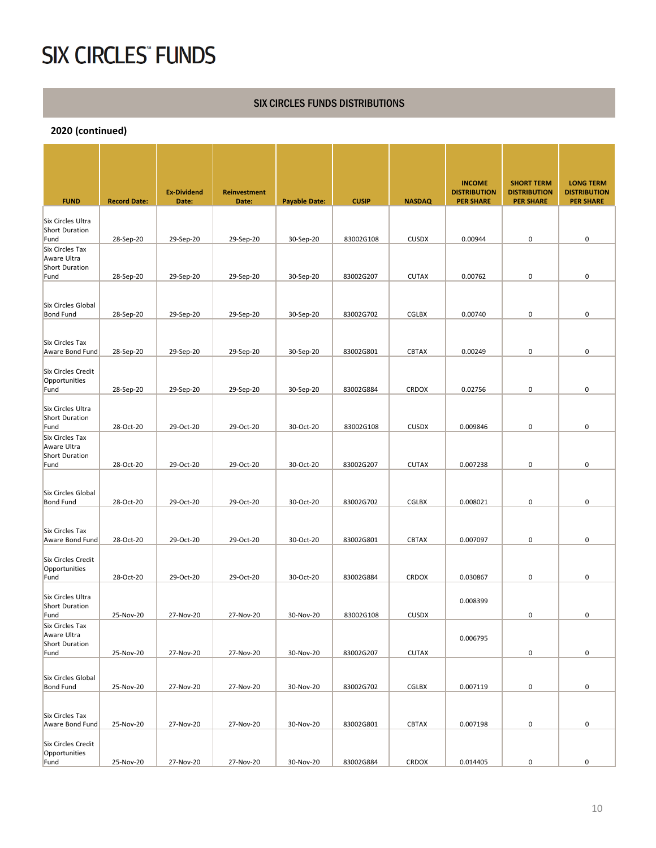#### SIX CIRCLES FUNDS DISTRIBUTIONS

|                                                         |                     | <b>Ex-Dividend</b> | <b>Reinvestment</b> |                      |              |               | <b>INCOME</b><br><b>DISTRIBUTION</b> | <b>SHORT TERM</b><br><b>DISTRIBUTION</b> | <b>LONG TERM</b><br><b>DISTRIBUTION</b> |
|---------------------------------------------------------|---------------------|--------------------|---------------------|----------------------|--------------|---------------|--------------------------------------|------------------------------------------|-----------------------------------------|
| <b>FUND</b>                                             | <b>Record Date:</b> | Date:              | Date:               | <b>Payable Date:</b> | <b>CUSIP</b> | <b>NASDAQ</b> | <b>PER SHARE</b>                     | <b>PER SHARE</b>                         | <b>PER SHARE</b>                        |
| Six Circles Ultra<br>Short Duration<br>Fund             | 28-Sep-20           | 29-Sep-20          | 29-Sep-20           | 30-Sep-20            | 83002G108    | <b>CUSDX</b>  | 0.00944                              | 0                                        | 0                                       |
| Six Circles Tax                                         |                     |                    |                     |                      |              |               |                                      |                                          |                                         |
| Aware Ultra<br>Short Duration<br>Fund                   | 28-Sep-20           | 29-Sep-20          | 29-Sep-20           | 30-Sep-20            | 83002G207    | <b>CUTAX</b>  | 0.00762                              | $\mathbf 0$                              | 0                                       |
| Six Circles Global                                      |                     |                    |                     |                      |              |               |                                      |                                          |                                         |
| <b>Bond Fund</b>                                        | 28-Sep-20           | 29-Sep-20          | 29-Sep-20           | 30-Sep-20            | 83002G702    | CGLBX         | 0.00740                              | 0                                        | 0                                       |
| Six Circles Tax<br>Aware Bond Fund                      | 28-Sep-20           | 29-Sep-20          | 29-Sep-20           | 30-Sep-20            | 83002G801    | <b>CBTAX</b>  | 0.00249                              | $\mathbf 0$                              | 0                                       |
| <b>Six Circles Credit</b><br>Opportunities              |                     |                    | 29-Sep-20           | 30-Sep-20            |              | CRDOX         | 0.02756                              | $\mathbf 0$                              | 0                                       |
| Fund                                                    | 28-Sep-20           | 29-Sep-20          |                     |                      | 83002G884    |               |                                      |                                          |                                         |
| Six Circles Ultra<br><b>Short Duration</b><br>Fund      | 28-Oct-20           | 29-Oct-20          | 29-Oct-20           | 30-Oct-20            | 83002G108    | <b>CUSDX</b>  | 0.009846                             | $\mathbf 0$                              | 0                                       |
| Six Circles Tax<br>Aware Ultra<br><b>Short Duration</b> |                     |                    |                     |                      |              |               |                                      |                                          |                                         |
| Fund                                                    | 28-Oct-20           | 29-Oct-20          | 29-Oct-20           | 30-Oct-20            | 83002G207    | <b>CUTAX</b>  | 0.007238                             | $\mathbf 0$                              | 0                                       |
| Six Circles Global<br><b>Bond Fund</b>                  | 28-Oct-20           | 29-Oct-20          | 29-Oct-20           | 30-Oct-20            | 83002G702    | <b>CGLBX</b>  | 0.008021                             | 0                                        | 0                                       |
| Six Circles Tax                                         |                     |                    |                     |                      |              |               |                                      |                                          |                                         |
| Aware Bond Fund                                         | 28-Oct-20           | 29-Oct-20          | 29-Oct-20           | 30-Oct-20            | 83002G801    | <b>CBTAX</b>  | 0.007097                             | $\pmb{0}$                                | 0                                       |
| Six Circles Credit<br>Opportunities<br>Fund             | 28-Oct-20           | 29-Oct-20          | 29-Oct-20           | 30-Oct-20            | 83002G884    | <b>CRDOX</b>  | 0.030867                             | 0                                        | 0                                       |
| Six Circles Ultra<br><b>Short Duration</b>              |                     |                    |                     |                      |              |               | 0.008399                             |                                          |                                         |
| Fund<br>Six Circles Tax                                 | 25-Nov-20           | 27-Nov-20          | 27-Nov-20           | 30-Nov-20            | 83002G108    | <b>CUSDX</b>  |                                      | 0                                        | 0                                       |
| Aware Ultra<br>Short Duration<br>Fund                   | 25-Nov-20           | 27-Nov-20          | 27-Nov-20           | 30-Nov-20            | 83002G207    | CUTAX         | 0.006795                             | $\pmb{0}$                                | $\pmb{0}$                               |
|                                                         |                     |                    |                     |                      |              |               |                                      |                                          |                                         |
| Six Circles Global<br><b>Bond Fund</b>                  | 25-Nov-20           | 27-Nov-20          | 27-Nov-20           | 30-Nov-20            | 83002G702    | CGLBX         | 0.007119                             | $\pmb{0}$                                | 0                                       |
| Six Circles Tax                                         |                     |                    |                     |                      |              |               |                                      |                                          |                                         |
| Aware Bond Fund                                         | 25-Nov-20           | 27-Nov-20          | 27-Nov-20           | 30-Nov-20            | 83002G801    | <b>CBTAX</b>  | 0.007198                             | 0                                        | 0                                       |
| Six Circles Credit<br>Opportunities                     |                     |                    |                     |                      |              |               |                                      |                                          |                                         |
| Fund                                                    | 25-Nov-20           | 27-Nov-20          | 27-Nov-20           | 30-Nov-20            | 83002G884    | CRDOX         | 0.014405                             | 0                                        | 0                                       |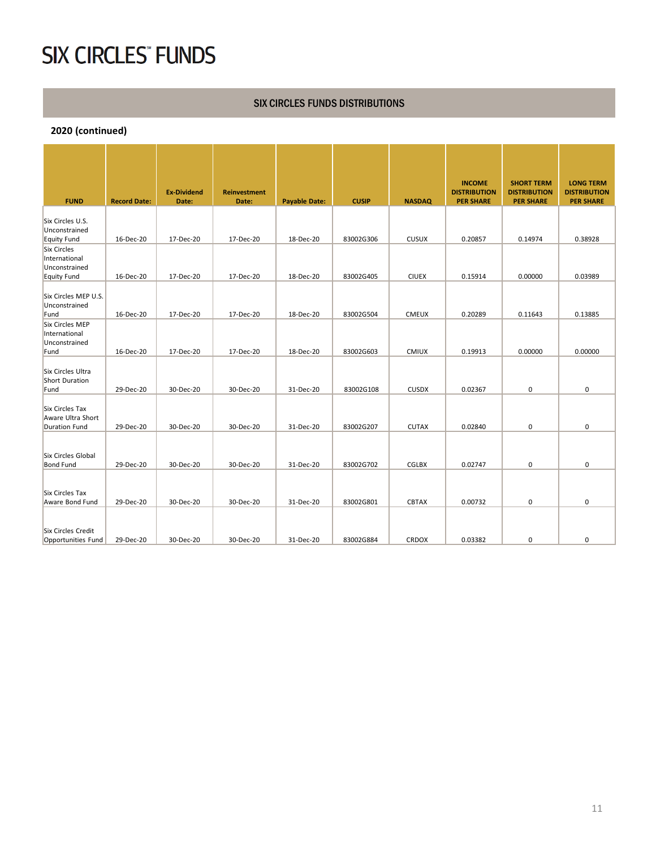#### SIX CIRCLES FUNDS DISTRIBUTIONS

| <b>FUND</b>                                                         | <b>Record Date:</b> | <b>Ex-Dividend</b><br>Date: | <b>Reinvestment</b><br>Date: | <b>Payable Date:</b> | <b>CUSIP</b> | <b>NASDAQ</b> | <b>INCOME</b><br><b>DISTRIBUTION</b><br><b>PER SHARE</b> | <b>SHORT TERM</b><br><b>DISTRIBUTION</b><br><b>PER SHARE</b> | <b>LONG TERM</b><br><b>DISTRIBUTION</b><br><b>PER SHARE</b> |
|---------------------------------------------------------------------|---------------------|-----------------------------|------------------------------|----------------------|--------------|---------------|----------------------------------------------------------|--------------------------------------------------------------|-------------------------------------------------------------|
| Six Circles U.S.<br>Unconstrained<br>Equity Fund                    | 16-Dec-20           | 17-Dec-20                   | 17-Dec-20                    | 18-Dec-20            | 83002G306    | <b>CUSUX</b>  | 0.20857                                                  | 0.14974                                                      | 0.38928                                                     |
| <b>Six Circles</b><br>International<br>Unconstrained<br>Equity Fund | 16-Dec-20           | 17-Dec-20                   | 17-Dec-20                    | 18-Dec-20            | 83002G405    | <b>CIUEX</b>  | 0.15914                                                  | 0.00000                                                      | 0.03989                                                     |
| Six Circles MEP U.S.<br>Unconstrained<br>Fund                       | 16-Dec-20           | 17-Dec-20                   | 17-Dec-20                    | 18-Dec-20            | 83002G504    | <b>CMEUX</b>  | 0.20289                                                  | 0.11643                                                      | 0.13885                                                     |
| Six Circles MEP<br>International<br>Unconstrained<br>Fund           | 16-Dec-20           | 17-Dec-20                   | 17-Dec-20                    | 18-Dec-20            | 83002G603    | <b>CMIUX</b>  | 0.19913                                                  | 0.00000                                                      | 0.00000                                                     |
| Six Circles Ultra<br>Short Duration<br>Fund                         | 29-Dec-20           | 30-Dec-20                   | 30-Dec-20                    | 31-Dec-20            | 83002G108    | <b>CUSDX</b>  | 0.02367                                                  | $\pmb{0}$                                                    | 0                                                           |
| Six Circles Tax<br>Aware Ultra Short<br>Duration Fund               | 29-Dec-20           | 30-Dec-20                   | 30-Dec-20                    | 31-Dec-20            | 83002G207    | <b>CUTAX</b>  | 0.02840                                                  | $\pmb{0}$                                                    | 0                                                           |
| Six Circles Global<br><b>Bond Fund</b>                              | 29-Dec-20           | 30-Dec-20                   | 30-Dec-20                    | 31-Dec-20            | 83002G702    | CGLBX         | 0.02747                                                  | $\pmb{0}$                                                    | 0                                                           |
| Six Circles Tax<br>Aware Bond Fund                                  | 29-Dec-20           | 30-Dec-20                   | 30-Dec-20                    | 31-Dec-20            | 83002G801    | <b>CBTAX</b>  | 0.00732                                                  | $\mathbf 0$                                                  | 0                                                           |
| <b>Six Circles Credit</b><br>Opportunities Fund                     | 29-Dec-20           | 30-Dec-20                   | 30-Dec-20                    | 31-Dec-20            | 83002G884    | <b>CRDOX</b>  | 0.03382                                                  | 0                                                            | 0                                                           |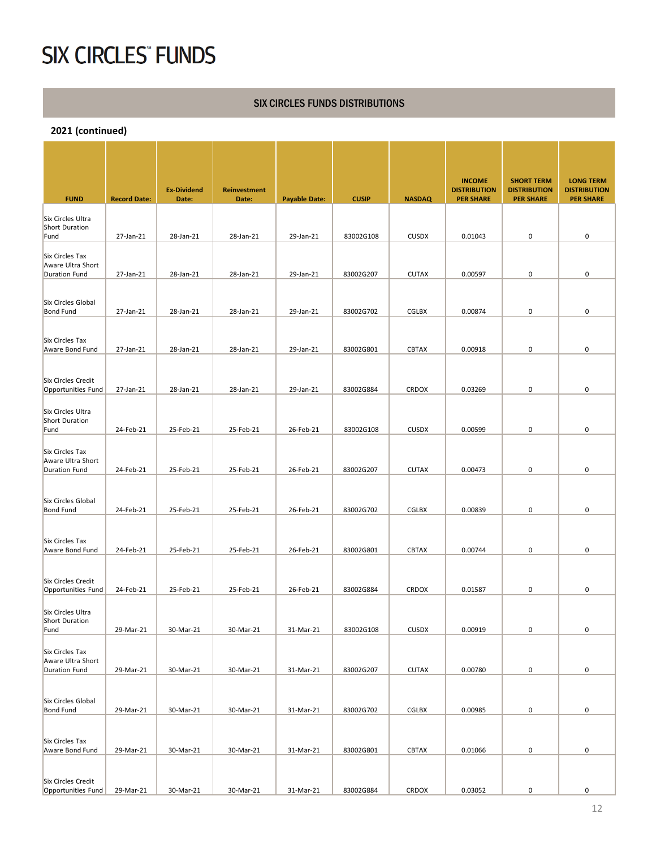#### SIX CIRCLES FUNDS DISTRIBUTIONS

| <b>FUND</b>                                                  | <b>Record Date:</b> | <b>Ex-Dividend</b><br>Date: | Reinvestment<br>Date: | <b>Payable Date:</b> | <b>CUSIP</b> | <b>NASDAQ</b> | <b>INCOME</b><br><b>DISTRIBUTION</b><br><b>PER SHARE</b> | <b>SHORT TERM</b><br><b>DISTRIBUTION</b><br><b>PER SHARE</b> | <b>LONG TERM</b><br><b>DISTRIBUTION</b><br><b>PER SHARE</b> |
|--------------------------------------------------------------|---------------------|-----------------------------|-----------------------|----------------------|--------------|---------------|----------------------------------------------------------|--------------------------------------------------------------|-------------------------------------------------------------|
| Six Circles Ultra<br>Short Duration                          |                     |                             |                       |                      |              |               |                                                          |                                                              |                                                             |
| Fund                                                         | 27-Jan-21           | 28-Jan-21                   | 28-Jan-21             | 29-Jan-21            | 83002G108    | <b>CUSDX</b>  | 0.01043                                                  | 0                                                            | $\pmb{0}$                                                   |
| Six Circles Tax<br>Aware Ultra Short<br><b>Duration Fund</b> | 27-Jan-21           | 28-Jan-21                   | 28-Jan-21             | 29-Jan-21            | 83002G207    | <b>CUTAX</b>  | 0.00597                                                  | 0                                                            | 0                                                           |
| Six Circles Global<br><b>Bond Fund</b>                       |                     | 28-Jan-21                   | 28-Jan-21             | 29-Jan-21            | 83002G702    | CGLBX         |                                                          | 0                                                            | 0                                                           |
|                                                              | 27-Jan-21           |                             |                       |                      |              |               | 0.00874                                                  |                                                              |                                                             |
| Six Circles Tax<br>Aware Bond Fund                           | 27-Jan-21           | 28-Jan-21                   | 28-Jan-21             | 29-Jan-21            | 83002G801    | <b>CBTAX</b>  | 0.00918                                                  | 0                                                            | 0                                                           |
| Six Circles Credit                                           |                     |                             |                       |                      |              |               |                                                          |                                                              |                                                             |
| Opportunities Fund                                           | 27-Jan-21           | 28-Jan-21                   | 28-Jan-21             | 29-Jan-21            | 83002G884    | <b>CRDOX</b>  | 0.03269                                                  | 0                                                            | 0                                                           |
| Six Circles Ultra<br>Short Duration<br>Fund                  | 24-Feb-21           | 25-Feb-21                   | 25-Feb-21             | 26-Feb-21            | 83002G108    | <b>CUSDX</b>  | 0.00599                                                  | 0                                                            | 0                                                           |
| Six Circles Tax<br>Aware Ultra Short<br><b>Duration Fund</b> | 24-Feb-21           | 25-Feb-21                   | 25-Feb-21             | 26-Feb-21            | 83002G207    | <b>CUTAX</b>  | 0.00473                                                  | 0                                                            | 0                                                           |
| Six Circles Global                                           |                     |                             |                       |                      |              |               |                                                          |                                                              |                                                             |
| <b>Bond Fund</b>                                             | 24-Feb-21           | 25-Feb-21                   | 25-Feb-21             | 26-Feb-21            | 83002G702    | <b>CGLBX</b>  | 0.00839                                                  | 0                                                            | $\pmb{0}$                                                   |
| Six Circles Tax<br>Aware Bond Fund                           | 24-Feb-21           | 25-Feb-21                   | 25-Feb-21             | 26-Feb-21            | 83002G801    | <b>CBTAX</b>  | 0.00744                                                  | 0                                                            | 0                                                           |
| Six Circles Credit<br>Opportunities Fund                     | 24-Feb-21           | 25-Feb-21                   | 25-Feb-21             | 26-Feb-21            | 83002G884    | <b>CRDOX</b>  | 0.01587                                                  | 0                                                            | 0                                                           |
| Six Circles Ultra<br>Short Duration                          |                     |                             |                       |                      |              |               |                                                          |                                                              |                                                             |
| Fund                                                         | 29-Mar-21           | 30-Mar-21                   | 30-Mar-21             | 31-Mar-21            | 83002G108    | <b>CUSDX</b>  | 0.00919                                                  | 0                                                            | 0                                                           |
| Six Circles Tax<br>Aware Ultra Short<br>Duration Fund        | 29-Mar-21           | 30-Mar-21                   | 30-Mar-21             | 31-Mar-21            | 83002G207    | <b>CUTAX</b>  | 0.00780                                                  | 0                                                            | 0                                                           |
|                                                              |                     |                             |                       |                      |              |               |                                                          |                                                              |                                                             |
| Six Circles Global<br><b>Bond Fund</b>                       | 29-Mar-21           | 30-Mar-21                   | 30-Mar-21             | 31-Mar-21            | 83002G702    | <b>CGLBX</b>  | 0.00985                                                  | 0                                                            | 0                                                           |
| Six Circles Tax                                              |                     |                             |                       |                      |              |               |                                                          |                                                              |                                                             |
| Aware Bond Fund                                              | 29-Mar-21           | 30-Mar-21                   | 30-Mar-21             | 31-Mar-21            | 83002G801    | <b>CBTAX</b>  | 0.01066                                                  | 0                                                            | 0                                                           |
| Six Circles Credit<br>Opportunities Fund                     | 29-Mar-21           | 30-Mar-21                   | 30-Mar-21             | 31-Mar-21            | 83002G884    | CRDOX         | 0.03052                                                  | $\pmb{0}$                                                    | 0                                                           |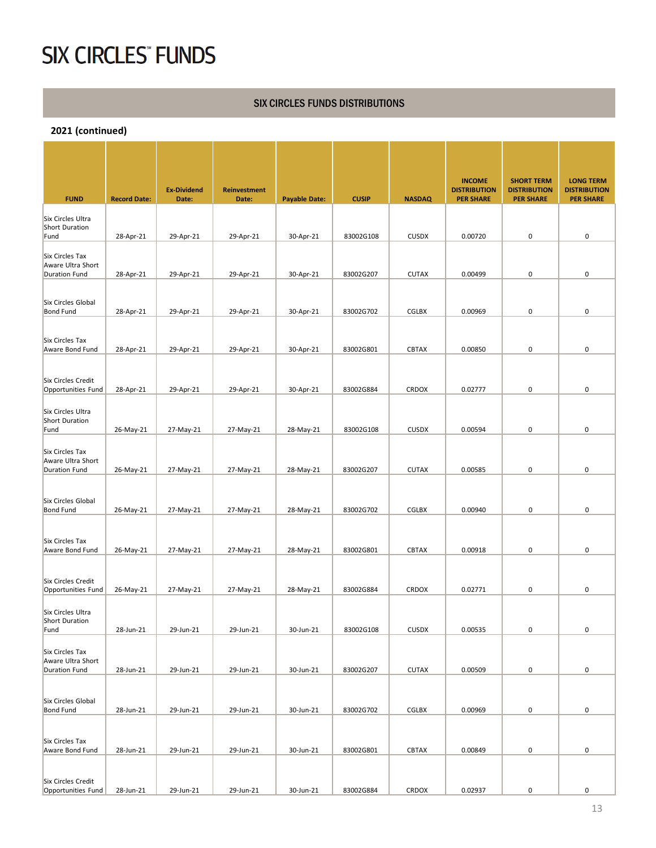#### SIX CIRCLES FUNDS DISTRIBUTIONS

| <b>FUND</b>                                                  | <b>Record Date:</b> | <b>Ex-Dividend</b><br>Date: | Reinvestment<br>Date: | <b>Payable Date:</b> | <b>CUSIP</b> | <b>NASDAQ</b> | <b>INCOME</b><br><b>DISTRIBUTION</b><br><b>PER SHARE</b> | <b>SHORT TERM</b><br><b>DISTRIBUTION</b><br><b>PER SHARE</b> | <b>LONG TERM</b><br><b>DISTRIBUTION</b><br><b>PER SHARE</b> |
|--------------------------------------------------------------|---------------------|-----------------------------|-----------------------|----------------------|--------------|---------------|----------------------------------------------------------|--------------------------------------------------------------|-------------------------------------------------------------|
| Six Circles Ultra<br>Short Duration<br>Fund                  | 28-Apr-21           | 29-Apr-21                   | 29-Apr-21             | 30-Apr-21            | 83002G108    | <b>CUSDX</b>  | 0.00720                                                  | 0                                                            | $\pmb{0}$                                                   |
| Six Circles Tax<br>Aware Ultra Short                         |                     |                             |                       |                      |              |               |                                                          |                                                              |                                                             |
| <b>Duration Fund</b>                                         | 28-Apr-21           | 29-Apr-21                   | 29-Apr-21             | 30-Apr-21            | 83002G207    | <b>CUTAX</b>  | 0.00499                                                  | 0                                                            | 0                                                           |
| Six Circles Global<br><b>Bond Fund</b>                       | 28-Apr-21           | 29-Apr-21                   | 29-Apr-21             | 30-Apr-21            | 83002G702    | CGLBX         | 0.00969                                                  | 0                                                            | 0                                                           |
| Six Circles Tax<br>Aware Bond Fund                           | 28-Apr-21           | 29-Apr-21                   | 29-Apr-21             | 30-Apr-21            | 83002G801    | <b>CBTAX</b>  | 0.00850                                                  | 0                                                            | 0                                                           |
| Six Circles Credit<br>Opportunities Fund                     | 28-Apr-21           | 29-Apr-21                   | 29-Apr-21             | 30-Apr-21            | 83002G884    | CRDOX         | 0.02777                                                  | 0                                                            | 0                                                           |
| Six Circles Ultra<br>Short Duration<br>Fund                  | 26-May-21           | 27-May-21                   | 27-May-21             | 28-May-21            | 83002G108    | <b>CUSDX</b>  | 0.00594                                                  | 0                                                            | 0                                                           |
| Six Circles Tax<br>Aware Ultra Short<br><b>Duration Fund</b> | 26-May-21           | 27-May-21                   | 27-May-21             | 28-May-21            | 83002G207    | <b>CUTAX</b>  | 0.00585                                                  | 0                                                            | 0                                                           |
| Six Circles Global<br><b>Bond Fund</b>                       | 26-May-21           | 27-May-21                   | 27-May-21             | 28-May-21            | 83002G702    | <b>CGLBX</b>  | 0.00940                                                  | 0                                                            | 0                                                           |
| Six Circles Tax<br>Aware Bond Fund                           | 26-May-21           | 27-May-21                   | 27-May-21             | 28-May-21            | 83002G801    | <b>CBTAX</b>  | 0.00918                                                  | 0                                                            | 0                                                           |
| Six Circles Credit<br>Opportunities Fund                     | 26-May-21           | 27-May-21                   | 27-May-21             | 28-May-21            | 83002G884    | <b>CRDOX</b>  | 0.02771                                                  | 0                                                            | 0                                                           |
| Six Circles Ultra<br>Short Duration<br>Fund                  | 28-Jun-21           | 29-Jun-21                   | 29-Jun-21             | 30-Jun-21            | 83002G108    | <b>CUSDX</b>  | 0.00535                                                  | 0                                                            | 0                                                           |
| Six Circles Tax<br>Aware Ultra Short<br>Duration Fund        | 28-Jun-21           | 29-Jun-21                   | 29-Jun-21             | 30-Jun-21            | 83002G207    | <b>CUTAX</b>  | 0.00509                                                  | 0                                                            | 0                                                           |
| Six Circles Global<br><b>Bond Fund</b>                       | 28-Jun-21           | 29-Jun-21                   | 29-Jun-21             | 30-Jun-21            | 83002G702    | <b>CGLBX</b>  | 0.00969                                                  | 0                                                            | 0                                                           |
| Six Circles Tax                                              |                     |                             |                       |                      |              |               |                                                          |                                                              |                                                             |
| Aware Bond Fund<br>Six Circles Credit                        | 28-Jun-21           | 29-Jun-21                   | 29-Jun-21             | 30-Jun-21            | 83002G801    | <b>CBTAX</b>  | 0.00849                                                  | 0                                                            | 0                                                           |
| Opportunities Fund                                           | 28-Jun-21           | 29-Jun-21                   | 29-Jun-21             | 30-Jun-21            | 83002G884    | CRDOX         | 0.02937                                                  | $\pmb{0}$                                                    | 0                                                           |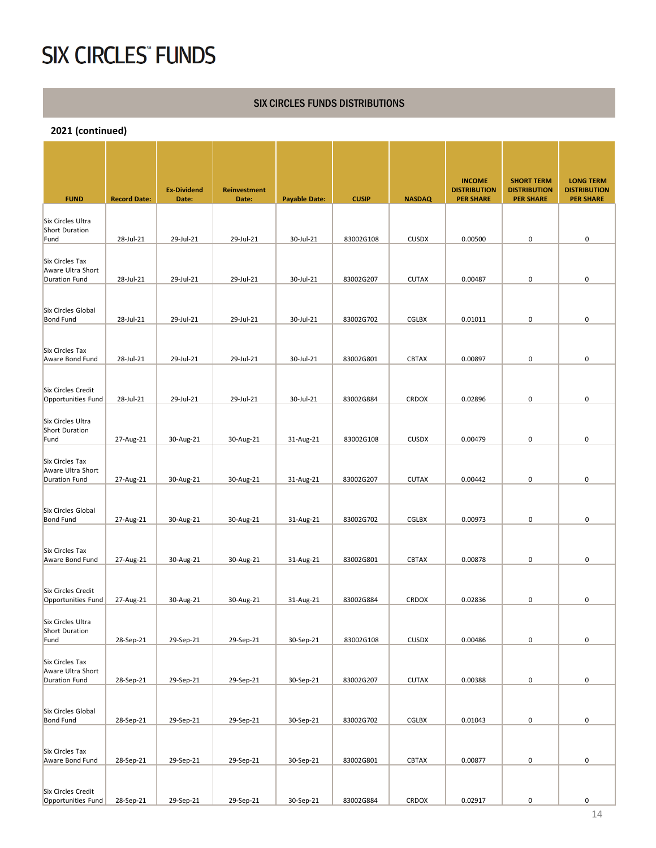#### SIX CIRCLES FUNDS DISTRIBUTIONS

| <b>FUND</b>                                           | <b>Record Date:</b> | <b>Ex-Dividend</b><br>Date: | <b>Reinvestment</b><br>Date: | <b>Payable Date:</b> | <b>CUSIP</b> | <b>NASDAQ</b> | <b>INCOME</b><br><b>DISTRIBUTION</b><br><b>PER SHARE</b> | <b>SHORT TERM</b><br><b>DISTRIBUTION</b><br><b>PER SHARE</b> | <b>LONG TERM</b><br><b>DISTRIBUTION</b><br><b>PER SHARE</b> |
|-------------------------------------------------------|---------------------|-----------------------------|------------------------------|----------------------|--------------|---------------|----------------------------------------------------------|--------------------------------------------------------------|-------------------------------------------------------------|
|                                                       |                     |                             |                              |                      |              |               |                                                          |                                                              |                                                             |
| Six Circles Ultra<br>Short Duration<br>Fund           | 28-Jul-21           | 29-Jul-21                   | 29-Jul-21                    | 30-Jul-21            | 83002G108    | <b>CUSDX</b>  | 0.00500                                                  | 0                                                            | 0                                                           |
| Six Circles Tax<br>Aware Ultra Short<br>Duration Fund | 28-Jul-21           | 29-Jul-21                   | 29-Jul-21                    | 30-Jul-21            | 83002G207    | <b>CUTAX</b>  | 0.00487                                                  | 0                                                            | 0                                                           |
|                                                       |                     |                             |                              |                      |              |               |                                                          |                                                              |                                                             |
| Six Circles Global<br><b>Bond Fund</b>                | 28-Jul-21           | 29-Jul-21                   | 29-Jul-21                    | 30-Jul-21            | 83002G702    | <b>CGLBX</b>  | 0.01011                                                  | 0                                                            | 0                                                           |
| Six Circles Tax<br>Aware Bond Fund                    | 28-Jul-21           | 29-Jul-21                   | 29-Jul-21                    | 30-Jul-21            | 83002G801    | <b>CBTAX</b>  | 0.00897                                                  | 0                                                            | 0                                                           |
|                                                       |                     |                             |                              |                      |              |               |                                                          |                                                              |                                                             |
| Six Circles Credit<br>Opportunities Fund              | 28-Jul-21           | 29-Jul-21                   | 29-Jul-21                    | 30-Jul-21            | 83002G884    | <b>CRDOX</b>  | 0.02896                                                  | 0                                                            | 0                                                           |
| Six Circles Ultra<br>Short Duration                   |                     |                             |                              |                      |              |               |                                                          |                                                              |                                                             |
| Fund                                                  | 27-Aug-21           | 30-Aug-21                   | 30-Aug-21                    | 31-Aug-21            | 83002G108    | <b>CUSDX</b>  | 0.00479                                                  | 0                                                            | 0                                                           |
| Six Circles Tax<br>Aware Ultra Short<br>Duration Fund | 27-Aug-21           | 30-Aug-21                   | 30-Aug-21                    | 31-Aug-21            | 83002G207    | <b>CUTAX</b>  | 0.00442                                                  | 0                                                            | 0                                                           |
|                                                       |                     |                             |                              |                      |              |               |                                                          |                                                              |                                                             |
| Six Circles Global<br><b>Bond Fund</b>                | 27-Aug-21           | 30-Aug-21                   | 30-Aug-21                    | 31-Aug-21            | 83002G702    | CGLBX         | 0.00973                                                  | 0                                                            | 0                                                           |
|                                                       |                     |                             |                              |                      |              |               |                                                          |                                                              |                                                             |
| Six Circles Tax<br>Aware Bond Fund                    | 27-Aug-21           | 30-Aug-21                   | 30-Aug-21                    | 31-Aug-21            | 83002G801    | <b>CBTAX</b>  | 0.00878                                                  | 0                                                            | 0                                                           |
| Six Circles Credit<br>Opportunities Fund              | 27-Aug-21           | 30-Aug-21                   | 30-Aug-21                    | 31-Aug-21            | 83002G884    | <b>CRDOX</b>  | 0.02836                                                  | 0                                                            | 0                                                           |
| Six Circles Ultra<br>Short Duration                   |                     |                             |                              |                      |              |               |                                                          |                                                              |                                                             |
| Fund                                                  | 28-Sep-21           | 29-Sep-21                   | 29-Sep-21                    | 30-Sep-21            | 83002G108    | <b>CUSDX</b>  | 0.00486                                                  | 0                                                            | 0                                                           |
| Six Circles Tax<br>Aware Ultra Short<br>Duration Fund | 28-Sep-21           | 29-Sep-21                   | 29-Sep-21                    | 30-Sep-21            | 83002G207    | <b>CUTAX</b>  | 0.00388                                                  | 0                                                            | 0                                                           |
|                                                       |                     |                             |                              |                      |              |               |                                                          |                                                              |                                                             |
| Six Circles Global<br><b>Bond Fund</b>                | 28-Sep-21           | 29-Sep-21                   | 29-Sep-21                    | 30-Sep-21            | 83002G702    | CGLBX         | 0.01043                                                  | 0                                                            | 0                                                           |
|                                                       |                     |                             |                              |                      |              |               |                                                          |                                                              |                                                             |
| Six Circles Tax<br>Aware Bond Fund                    | 28-Sep-21           | 29-Sep-21                   | 29-Sep-21                    | 30-Sep-21            | 83002G801    | CBTAX         | 0.00877                                                  | 0                                                            | 0                                                           |
| Six Circles Credit<br>Opportunities Fund              | 28-Sep-21           | 29-Sep-21                   | 29-Sep-21                    | 30-Sep-21            | 83002G884    | CRDOX         | 0.02917                                                  | $\pmb{0}$                                                    | 0                                                           |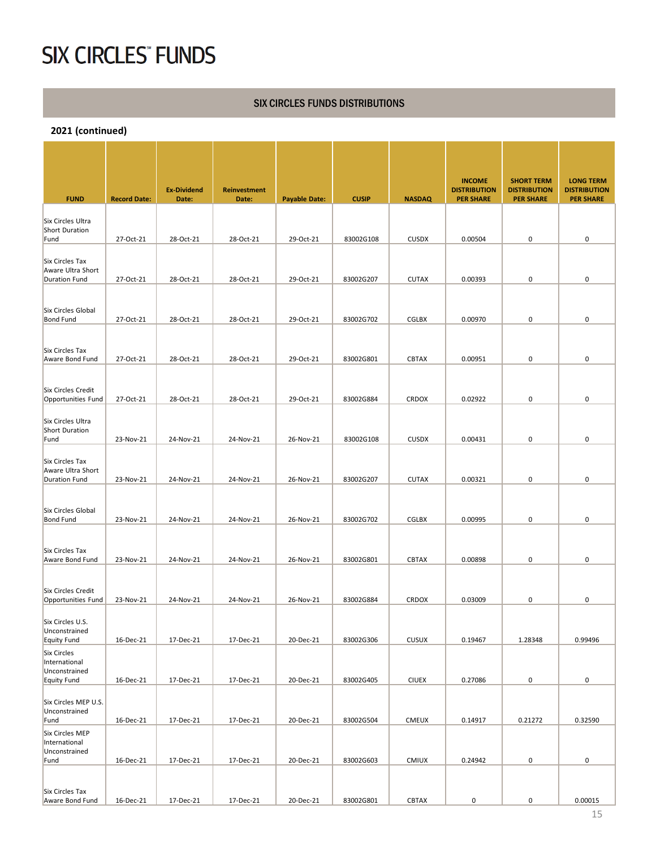#### SIX CIRCLES FUNDS DISTRIBUTIONS

| <b>FUND</b>                              | <b>Record Date:</b> | <b>Ex-Dividend</b><br>Date: | <b>Reinvestment</b><br>Date: | <b>Payable Date:</b> | <b>CUSIP</b> | <b>NASDAQ</b> | <b>INCOME</b><br><b>DISTRIBUTION</b><br><b>PER SHARE</b> | <b>SHORT TERM</b><br><b>DISTRIBUTION</b><br><b>PER SHARE</b> | <b>LONG TERM</b><br><b>DISTRIBUTION</b><br><b>PER SHARE</b> |
|------------------------------------------|---------------------|-----------------------------|------------------------------|----------------------|--------------|---------------|----------------------------------------------------------|--------------------------------------------------------------|-------------------------------------------------------------|
| Six Circles Ultra                        |                     |                             |                              |                      |              |               |                                                          |                                                              |                                                             |
| Short Duration<br>Fund                   | 27-Oct-21           | 28-Oct-21                   | 28-Oct-21                    | 29-Oct-21            | 83002G108    | <b>CUSDX</b>  | 0.00504                                                  | 0                                                            | 0                                                           |
|                                          |                     |                             |                              |                      |              |               |                                                          |                                                              |                                                             |
| Six Circles Tax<br>Aware Ultra Short     |                     |                             |                              |                      |              |               |                                                          |                                                              |                                                             |
| <b>Duration Fund</b>                     | 27-Oct-21           | 28-Oct-21                   | 28-Oct-21                    | 29-Oct-21            | 83002G207    | <b>CUTAX</b>  | 0.00393                                                  | 0                                                            | 0                                                           |
| Six Circles Global                       |                     |                             |                              |                      |              |               |                                                          |                                                              |                                                             |
| Bond Fund                                | 27-Oct-21           | 28-Oct-21                   | 28-Oct-21                    | 29-Oct-21            | 83002G702    | <b>CGLBX</b>  | 0.00970                                                  | 0                                                            | $\pmb{0}$                                                   |
|                                          |                     |                             |                              |                      |              |               |                                                          |                                                              |                                                             |
| Six Circles Tax<br>Aware Bond Fund       | 27-Oct-21           | 28-Oct-21                   | 28-Oct-21                    | 29-Oct-21            | 83002G801    | <b>CBTAX</b>  | 0.00951                                                  | 0                                                            | 0                                                           |
|                                          |                     |                             |                              |                      |              |               |                                                          |                                                              |                                                             |
| Six Circles Credit                       |                     |                             |                              |                      |              |               |                                                          |                                                              |                                                             |
| Opportunities Fund                       | 27-Oct-21           | 28-Oct-21                   | 28-Oct-21                    | 29-Oct-21            | 83002G884    | <b>CRDOX</b>  | 0.02922                                                  | 0                                                            | 0                                                           |
| Six Circles Ultra<br>Short Duration      |                     |                             |                              |                      |              |               |                                                          |                                                              |                                                             |
| Fund                                     | 23-Nov-21           | 24-Nov-21                   | 24-Nov-21                    | 26-Nov-21            | 83002G108    | <b>CUSDX</b>  | 0.00431                                                  | 0                                                            | 0                                                           |
| Six Circles Tax                          |                     |                             |                              |                      |              |               |                                                          |                                                              |                                                             |
| Aware Ultra Short<br>Duration Fund       | 23-Nov-21           | 24-Nov-21                   | 24-Nov-21                    | 26-Nov-21            | 83002G207    | <b>CUTAX</b>  | 0.00321                                                  | 0                                                            | 0                                                           |
|                                          |                     |                             |                              |                      |              |               |                                                          |                                                              |                                                             |
| Six Circles Global                       |                     |                             |                              |                      |              |               |                                                          |                                                              |                                                             |
| <b>Bond Fund</b>                         | 23-Nov-21           | 24-Nov-21                   | 24-Nov-21                    | 26-Nov-21            | 83002G702    | <b>CGLBX</b>  | 0.00995                                                  | 0                                                            | 0                                                           |
| Six Circles Tax                          |                     |                             |                              |                      |              |               |                                                          |                                                              |                                                             |
| Aware Bond Fund                          | 23-Nov-21           | 24-Nov-21                   | 24-Nov-21                    | 26-Nov-21            | 83002G801    | <b>CBTAX</b>  | 0.00898                                                  | 0                                                            | 0                                                           |
|                                          |                     |                             |                              |                      |              |               |                                                          |                                                              |                                                             |
| Six Circles Credit<br>Opportunities Fund | 23-Nov-21           | 24-Nov-21                   | 24-Nov-21                    | 26-Nov-21            | 83002G884    | <b>CRDOX</b>  | 0.03009                                                  | 0                                                            | 0                                                           |
| Six Circles U.S.                         |                     |                             |                              |                      |              |               |                                                          |                                                              |                                                             |
| Unconstrained<br>Equity Fund             | 16-Dec-21           | 17-Dec-21                   | 17-Dec-21                    | 20-Dec-21            | 83002G306    | <b>CUSUX</b>  | 0.19467                                                  | 1.28348                                                      | 0.99496                                                     |
| Six Circles                              |                     |                             |                              |                      |              |               |                                                          |                                                              |                                                             |
| International<br>Unconstrained           |                     |                             |                              |                      |              |               |                                                          |                                                              |                                                             |
| Equity Fund                              | 16-Dec-21           | 17-Dec-21                   | 17-Dec-21                    | 20-Dec-21            | 83002G405    | <b>CIUEX</b>  | 0.27086                                                  | 0                                                            | 0                                                           |
| Six Circles MEP U.S.                     |                     |                             |                              |                      |              |               |                                                          |                                                              |                                                             |
| Unconstrained<br>Fund                    | 16-Dec-21           | 17-Dec-21                   | 17-Dec-21                    | 20-Dec-21            | 83002G504    | <b>CMEUX</b>  | 0.14917                                                  | 0.21272                                                      | 0.32590                                                     |
| Six Circles MEP<br>International         |                     |                             |                              |                      |              |               |                                                          |                                                              |                                                             |
| Unconstrained<br>Fund                    | 16-Dec-21           | 17-Dec-21                   | 17-Dec-21                    | 20-Dec-21            | 83002G603    | <b>CMIUX</b>  | 0.24942                                                  | 0                                                            | 0                                                           |
|                                          |                     |                             |                              |                      |              |               |                                                          |                                                              |                                                             |
| Six Circles Tax                          |                     |                             |                              |                      |              |               |                                                          |                                                              |                                                             |
| Aware Bond Fund                          | 16-Dec-21           | 17-Dec-21                   | 17-Dec-21                    | 20-Dec-21            | 83002G801    | CBTAX         | 0                                                        | $\mathsf{O}\xspace$                                          | 0.00015                                                     |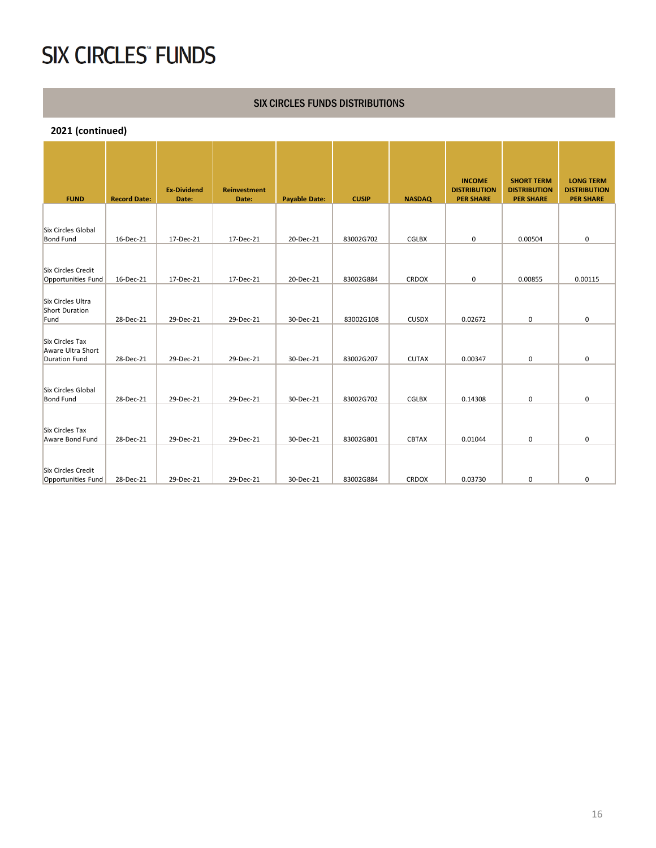#### SIX CIRCLES FUNDS DISTRIBUTIONS

| <b>FUND</b>                              | <b>Record Date:</b> | <b>Ex-Dividend</b><br>Date: | <b>Reinvestment</b><br>Date: | <b>Payable Date:</b> | <b>CUSIP</b> | <b>NASDAQ</b> | <b>INCOME</b><br><b>DISTRIBUTION</b><br><b>PER SHARE</b> | <b>SHORT TERM</b><br><b>DISTRIBUTION</b><br><b>PER SHARE</b> | <b>LONG TERM</b><br><b>DISTRIBUTION</b><br><b>PER SHARE</b> |
|------------------------------------------|---------------------|-----------------------------|------------------------------|----------------------|--------------|---------------|----------------------------------------------------------|--------------------------------------------------------------|-------------------------------------------------------------|
|                                          |                     |                             |                              |                      |              |               |                                                          |                                                              |                                                             |
| Six Circles Global<br><b>Bond Fund</b>   | 16-Dec-21           | 17-Dec-21                   | 17-Dec-21                    | 20-Dec-21            | 83002G702    | CGLBX         | 0                                                        | 0.00504                                                      | 0                                                           |
|                                          |                     |                             |                              |                      |              |               |                                                          |                                                              |                                                             |
| Six Circles Credit<br>Opportunities Fund | 16-Dec-21           | 17-Dec-21                   | 17-Dec-21                    | 20-Dec-21            | 83002G884    | <b>CRDOX</b>  | 0                                                        | 0.00855                                                      | 0.00115                                                     |
|                                          |                     |                             |                              |                      |              |               |                                                          |                                                              |                                                             |
| Six Circles Ultra<br>Short Duration      |                     |                             |                              |                      |              |               |                                                          |                                                              |                                                             |
| Fund                                     | 28-Dec-21           | 29-Dec-21                   | 29-Dec-21                    | 30-Dec-21            | 83002G108    | <b>CUSDX</b>  | 0.02672                                                  | $\mathbf 0$                                                  | 0                                                           |
| Six Circles Tax                          |                     |                             |                              |                      |              |               |                                                          |                                                              |                                                             |
| Aware Ultra Short<br>Duration Fund       | 28-Dec-21           | 29-Dec-21                   | 29-Dec-21                    | 30-Dec-21            | 83002G207    | <b>CUTAX</b>  | 0.00347                                                  | 0                                                            | 0                                                           |
|                                          |                     |                             |                              |                      |              |               |                                                          |                                                              |                                                             |
| Six Circles Global                       |                     |                             |                              |                      |              |               |                                                          |                                                              |                                                             |
| <b>Bond Fund</b>                         | 28-Dec-21           | 29-Dec-21                   | 29-Dec-21                    | 30-Dec-21            | 83002G702    | CGLBX         | 0.14308                                                  | $\mathbf 0$                                                  | 0                                                           |
|                                          |                     |                             |                              |                      |              |               |                                                          |                                                              |                                                             |
| Six Circles Tax                          |                     |                             |                              |                      |              |               |                                                          |                                                              |                                                             |
| Aware Bond Fund                          | 28-Dec-21           | 29-Dec-21                   | 29-Dec-21                    | 30-Dec-21            | 83002G801    | <b>CBTAX</b>  | 0.01044                                                  | 0                                                            | 0                                                           |
|                                          |                     |                             |                              |                      |              |               |                                                          |                                                              |                                                             |
| Six Circles Credit                       |                     |                             |                              |                      |              |               |                                                          |                                                              |                                                             |
| Opportunities Fund                       | 28-Dec-21           | 29-Dec-21                   | 29-Dec-21                    | 30-Dec-21            | 83002G884    | <b>CRDOX</b>  | 0.03730                                                  | 0                                                            | 0                                                           |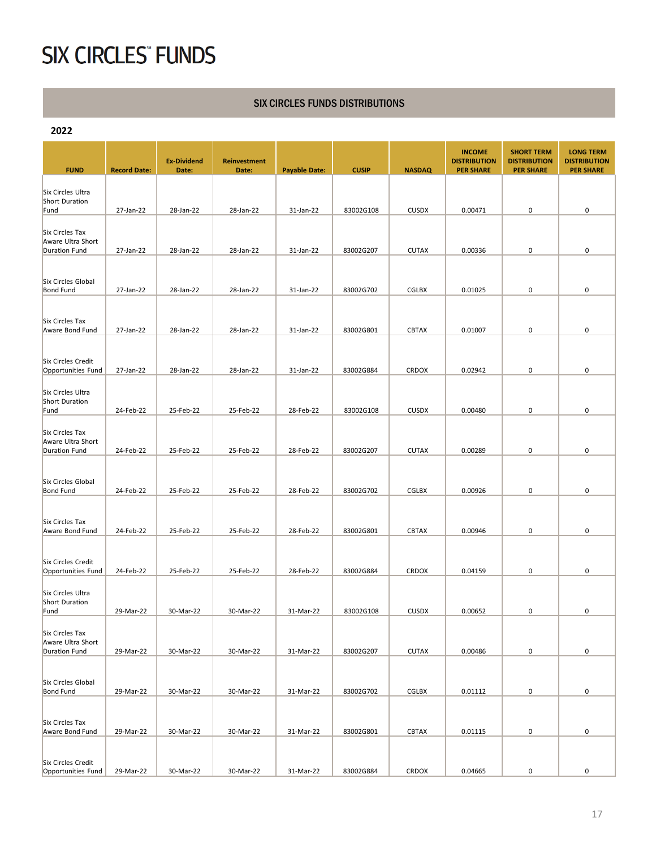#### SIX CIRCLES FUNDS DISTRIBUTIONS

| 2022                                                         |                     |                    |                     |                      |              |               |                                      |                                          |                                         |
|--------------------------------------------------------------|---------------------|--------------------|---------------------|----------------------|--------------|---------------|--------------------------------------|------------------------------------------|-----------------------------------------|
|                                                              |                     | <b>Ex-Dividend</b> | <b>Reinvestment</b> |                      |              |               | <b>INCOME</b><br><b>DISTRIBUTION</b> | <b>SHORT TERM</b><br><b>DISTRIBUTION</b> | <b>LONG TERM</b><br><b>DISTRIBUTION</b> |
| <b>FUND</b>                                                  | <b>Record Date:</b> | Date:              | Date:               | <b>Payable Date:</b> | <b>CUSIP</b> | <b>NASDAQ</b> | <b>PER SHARE</b>                     | <b>PER SHARE</b>                         | <b>PER SHARE</b>                        |
| Six Circles Ultra<br><b>Short Duration</b>                   |                     |                    |                     |                      |              |               |                                      |                                          |                                         |
| Fund                                                         | 27-Jan-22           | 28-Jan-22          | 28-Jan-22           | 31-Jan-22            | 83002G108    | <b>CUSDX</b>  | 0.00471                              | 0                                        | 0                                       |
| Six Circles Tax<br>Aware Ultra Short                         |                     |                    |                     |                      |              |               |                                      |                                          |                                         |
| <b>Duration Fund</b>                                         | 27-Jan-22           | 28-Jan-22          | 28-Jan-22           | 31-Jan-22            | 83002G207    | <b>CUTAX</b>  | 0.00336                              | 0                                        | 0                                       |
| Six Circles Global<br><b>Bond Fund</b>                       | 27-Jan-22           | 28-Jan-22          | 28-Jan-22           | 31-Jan-22            | 83002G702    | <b>CGLBX</b>  | 0.01025                              | 0                                        | 0                                       |
|                                                              |                     |                    |                     |                      |              |               |                                      |                                          |                                         |
| Six Circles Tax<br>Aware Bond Fund                           | 27-Jan-22           | 28-Jan-22          | 28-Jan-22           | 31-Jan-22            | 83002G801    | <b>CBTAX</b>  | 0.01007                              | 0                                        | 0                                       |
|                                                              |                     |                    |                     |                      |              |               |                                      |                                          |                                         |
| Six Circles Credit<br>Opportunities Fund                     | 27-Jan-22           | 28-Jan-22          | 28-Jan-22           | 31-Jan-22            | 83002G884    | <b>CRDOX</b>  | 0.02942                              | 0                                        | 0                                       |
| Six Circles Ultra<br><b>Short Duration</b><br>Fund           | 24-Feb-22           | 25-Feb-22          | 25-Feb-22           | 28-Feb-22            | 83002G108    | <b>CUSDX</b>  | 0.00480                              | 0                                        | 0                                       |
|                                                              |                     |                    |                     |                      |              |               |                                      |                                          |                                         |
| Six Circles Tax<br>Aware Ultra Short<br>Duration Fund        | 24-Feb-22           | 25-Feb-22          | 25-Feb-22           | 28-Feb-22            | 83002G207    | <b>CUTAX</b>  | 0.00289                              | 0                                        | 0                                       |
|                                                              |                     |                    |                     |                      |              |               |                                      |                                          |                                         |
| Six Circles Global<br><b>Bond Fund</b>                       | 24-Feb-22           | 25-Feb-22          | 25-Feb-22           | 28-Feb-22            | 83002G702    | <b>CGLBX</b>  | 0.00926                              | 0                                        | 0                                       |
|                                                              |                     |                    |                     |                      |              |               |                                      |                                          |                                         |
| Six Circles Tax<br>Aware Bond Fund                           | 24-Feb-22           | 25-Feb-22          | 25-Feb-22           | 28-Feb-22            | 83002G801    | CBTAX         | 0.00946                              | 0                                        | 0                                       |
| Six Circles Credit                                           |                     |                    |                     |                      |              |               |                                      |                                          |                                         |
| Opportunities Fund                                           | 24-Feb-22           | 25-Feb-22          | 25-Feb-22           | 28-Feb-22            | 83002G884    | <b>CRDOX</b>  | 0.04159                              | 0                                        | 0                                       |
| Six Circles Ultra<br><b>Short Duration</b><br>Fund           | 29-Mar-22           | 30-Mar-22          | 30-Mar-22           | 31-Mar-22            | 83002G108    | <b>CUSDX</b>  | 0.00652                              | 0                                        | 0                                       |
|                                                              |                     |                    |                     |                      |              |               |                                      |                                          |                                         |
| Six Circles Tax<br>Aware Ultra Short<br><b>Duration Fund</b> | 29-Mar-22           | 30-Mar-22          | 30-Mar-22           | 31-Mar-22            | 83002G207    | <b>CUTAX</b>  | 0.00486                              | 0                                        | 0                                       |
|                                                              |                     |                    |                     |                      |              |               |                                      |                                          |                                         |
| Six Circles Global<br><b>Bond Fund</b>                       | 29-Mar-22           | 30-Mar-22          | 30-Mar-22           | 31-Mar-22            | 83002G702    | CGLBX         | 0.01112                              | 0                                        | 0                                       |
|                                                              |                     |                    |                     |                      |              |               |                                      |                                          |                                         |
| Six Circles Tax<br>Aware Bond Fund                           | 29-Mar-22           | 30-Mar-22          | 30-Mar-22           | 31-Mar-22            | 83002G801    | <b>CBTAX</b>  | 0.01115                              | 0                                        | 0                                       |
|                                                              |                     |                    |                     |                      |              |               |                                      |                                          |                                         |
| Six Circles Credit<br>Opportunities Fund                     | 29-Mar-22           | 30-Mar-22          | 30-Mar-22           | 31-Mar-22            | 83002G884    | CRDOX         | 0.04665                              | 0                                        | 0                                       |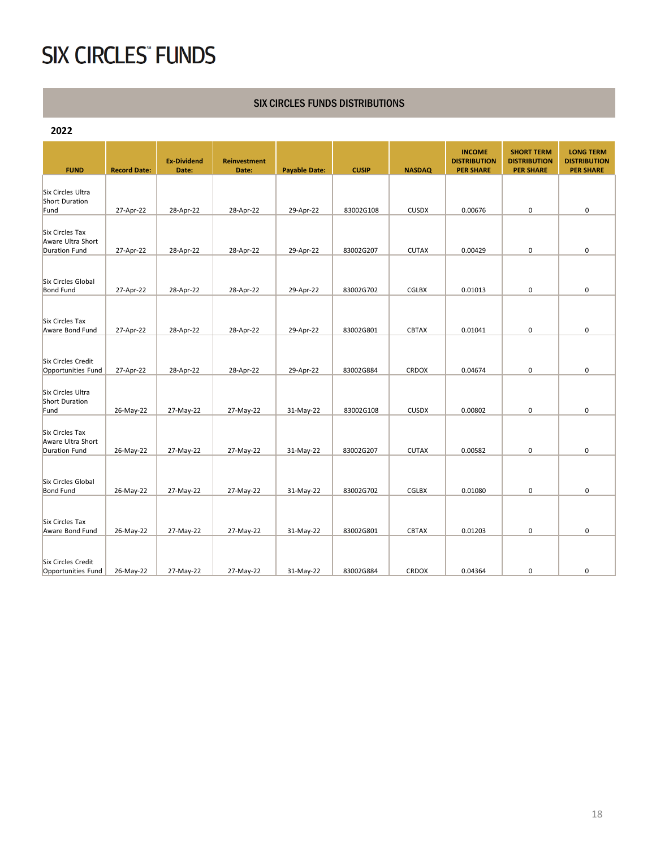#### SIX CIRCLES FUNDS DISTRIBUTIONS

| 2022                                                                |                     |                             |                              |                      |              |               |                                                          |                                                              |                                                             |
|---------------------------------------------------------------------|---------------------|-----------------------------|------------------------------|----------------------|--------------|---------------|----------------------------------------------------------|--------------------------------------------------------------|-------------------------------------------------------------|
| <b>FUND</b>                                                         | <b>Record Date:</b> | <b>Ex-Dividend</b><br>Date: | <b>Reinvestment</b><br>Date: | <b>Payable Date:</b> | <b>CUSIP</b> | <b>NASDAQ</b> | <b>INCOME</b><br><b>DISTRIBUTION</b><br><b>PER SHARE</b> | <b>SHORT TERM</b><br><b>DISTRIBUTION</b><br><b>PER SHARE</b> | <b>LONG TERM</b><br><b>DISTRIBUTION</b><br><b>PER SHARE</b> |
| Six Circles Ultra<br><b>Short Duration</b>                          |                     |                             |                              |                      |              |               |                                                          |                                                              |                                                             |
| Fund                                                                | 27-Apr-22           | 28-Apr-22                   | 28-Apr-22                    | 29-Apr-22            | 83002G108    | <b>CUSDX</b>  | 0.00676                                                  | 0                                                            | 0                                                           |
| Six Circles Tax<br>Aware Ultra Short<br><b>Duration Fund</b>        |                     |                             | 28-Apr-22                    | 29-Apr-22            | 83002G207    | <b>CUTAX</b>  | 0.00429                                                  | 0                                                            | 0                                                           |
|                                                                     | 27-Apr-22           | 28-Apr-22                   |                              |                      |              |               |                                                          |                                                              |                                                             |
| Six Circles Global<br><b>Bond Fund</b>                              | 27-Apr-22           | 28-Apr-22                   | 28-Apr-22                    | 29-Apr-22            | 83002G702    | <b>CGLBX</b>  | 0.01013                                                  | 0                                                            | 0                                                           |
| Six Circles Tax<br>Aware Bond Fund                                  | 27-Apr-22           | 28-Apr-22                   | 28-Apr-22                    | 29-Apr-22            | 83002G801    | <b>CBTAX</b>  | 0.01041                                                  | $\mathbf 0$                                                  | $\mathbf 0$                                                 |
| <b>Six Circles Credit</b><br>Opportunities Fund                     | 27-Apr-22           | 28-Apr-22                   | 28-Apr-22                    | 29-Apr-22            | 83002G884    | <b>CRDOX</b>  | 0.04674                                                  | 0                                                            | 0                                                           |
| Six Circles Ultra<br><b>Short Duration</b><br>Fund                  | 26-May-22           | 27-May-22                   | 27-May-22                    | 31-May-22            | 83002G108    | <b>CUSDX</b>  | 0.00802                                                  | $\mathbf 0$                                                  | $\pmb{0}$                                                   |
| <b>Six Circles Tax</b><br>Aware Ultra Short<br><b>Duration Fund</b> | 26-May-22           | 27-May-22                   | 27-May-22                    | 31-May-22            | 83002G207    | <b>CUTAX</b>  | 0.00582                                                  | $\mathbf 0$                                                  | 0                                                           |
| Six Circles Global<br><b>Bond Fund</b>                              | 26-May-22           | 27-May-22                   | 27-May-22                    | 31-May-22            | 83002G702    | <b>CGLBX</b>  | 0.01080                                                  | 0                                                            | 0                                                           |
| Six Circles Tax<br>Aware Bond Fund                                  | 26-May-22           | 27-May-22                   | 27-May-22                    | 31-May-22            | 83002G801    | <b>CBTAX</b>  | 0.01203                                                  | 0                                                            | $\mathbf 0$                                                 |
| <b>Six Circles Credit</b><br>Opportunities Fund                     | 26-May-22           | 27-May-22                   | 27-May-22                    | 31-May-22            | 83002G884    | <b>CRDOX</b>  | 0.04364                                                  | 0                                                            | $\mathbf 0$                                                 |